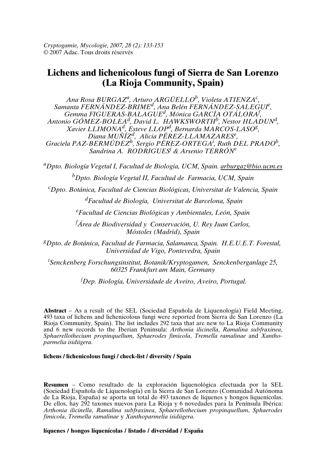*Cryptogamie, Mycologie, 2007, 28 (2): 133-153* © 2007 Adac. Tous droits réservés

# **Lichens and lichenicolous fungi of Sierra de San Lorenzo (La Rioja Community, Spain)**

*Ana Rosa BURGAZ<sup>a</sup> , Arturo ARGÜELLO<sup>b</sup> , Violeta ATIENZA<sup>c</sup> , Samanta FERNÁNDEZ-BRIME<sup>d</sup> , Ana Belén FERNÁNDEZ-SALEGUI<sup>e</sup> , Gemma FIGUERAS-BALAGUE<sup>d</sup> , Mónica GARCÍA OTÁLORA<sup>f</sup> , Antonio GÓMEZ-BOLEA<sup>d</sup> , David L. HAWKSWORTH<sup>b</sup> , Nestor HLADUN<sup>d</sup> , Xavier LLIMONA<sup>d</sup> , Esteve LLOP<sup>d</sup> , Bernarda MARCOS-LASO<sup>g</sup> , Diana MUÑÍZ<sup>d</sup> , Alicia PÉREZ-LLAMAZARES<sup>e</sup> , Graciela PAZ-BERMÚDEZ<sup>h</sup> , Sergio PÉREZ-ORTEGA<sup>i</sup> , Ruth DEL PRADO<sup>b</sup> , Sandrina A. RODRIGUES<sup>j</sup> & Arsenio TERRÓN<sup>e</sup>*

*<sup>a</sup>Dpto. Biología Vegetal I, Facultad de Biología, UCM, Spain. arburgaz@bio.ucm.es <sup>b</sup>Dpto. Biología Vegetal II, Facultad de Farmacia, UCM, Spain*

*<sup>c</sup>Dpto. Botánica, Facultad de Ciencias Biológicas, Universitat de Valencia, Spain*

*<sup>d</sup>Facultad de Biología, Universitat de Barcelona, Spain*

*<sup>e</sup>Facultad de Ciencias Biológicas y Ambientales, León, Spain*

*<sup>f</sup>Área de Biodiversidad y Conservación, U. Rey Juan Carlos, Móstoles (Madrid), Spain*

*<sup>g</sup>Dpto. de Botánica, Facultad de Farmacia, Salamanca, Spain. H.E.U.E.T. Forestal, Universidad de Vigo, Pontevedra, Spain*

*<sup>i</sup>Senckenberg Forschungsinstitut, Botanik/Kryptogamen, Senckenberganlage 25, 60325 Frankfurt am Main, Germany*

*<sup>j</sup>Dep. Biología, Universidade de Aveiro, Aveiro, Portugal.*

**Abstract** – As a result of the SEL (Sociedad Española de Liquenología) Field Meeting, 493 taxa of lichens and lichenicolous fungi were reported from Sierra de San Lorenzo (La Rioja Community, Spain). The list includes 292 taxa that are new to La Rioja Community and 6 new records to the Iberian Peninsula: *Arthonia ilicinella*, *Ramalina subfraxinea*, *Sphaerellothecium propinquellum*, *Sphaerodes fimicola*, *Tremella ramalinae* and *Xanthoparmelia isidiigera*.

#### **lichens / lichenicolous fungi / check-list / diversity / Spain**

**Resumen** – Como resultado de la exploración liquenológica efectuada por la SEL (Sociedad Española de Liquenología) en la Sierra de San Lorenzo (Comunidad Autónoma de La Rioja, España) se aporta un total de 493 taxones de líquenes y hongos liquenícolas. De ellos, hay 292 taxones nuevos para La Rioja y 6 novedades para la Península Ibérica: *Arthonia ilicinella*, *Ramalina subfraxinea*, *Sphaerellothecium propinquellum*, *Sphaerodes fimicola*, *Tremella ramalinae* y *Xanthoparmelia isidiigera*.

**líquenes / hongos liquenícolas / listado / diversidad / España**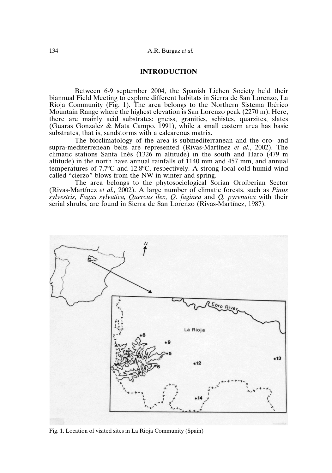# **INTRODUCTION**

Between 6-9 september 2004, the Spanish Lichen Society held their biannual Field Meeting to explore different habitats in Sierra de San Lorenzo, La Rioja Community (Fig. 1). The area belongs to the Northern Sistema Ibérico Mountain Range where the highest elevation is San Lorenzo peak (2270 m). Here, there are mainly acid substrates: gneiss, granitics, schistes, quarzites, slates (Guaras Gonzalez & Mata Campo, 1991), while a small eastern area has basic substrates, that is, sandstorms with a calcareous matrix.

The bioclimatology of the area is submediterranean and the oro- and supra-mediterrenean belts are represented (Rivas-Martínez *et al.*, 2002). The climatic stations Santa Inés (1326 m altitude) in the south and Haro (479 m altitude) in the north have annual rainfalls of 1140 mm and 457 mm, and annual temperatures of 7.7ºC and 12.8ºC, respectively. A strong local cold humid wind called "cierzo" blows from the NW in winter and spring.

The area belongs to the phytosociological Sorian Oroiberian Sector (Rivas-Martínez *et al.,* 2002). A large number of climatic forests, such as *Pinus sylvestris, Fagus sylvatica, Quercus ilex, Q. faginea* and *Q. pyrenaica* with their serial shrubs, are found in Sierra de San Lorenzo (Rivas-Martínez, 1987).



Fig. 1. Location of visited sites in La Rioja Community (Spain)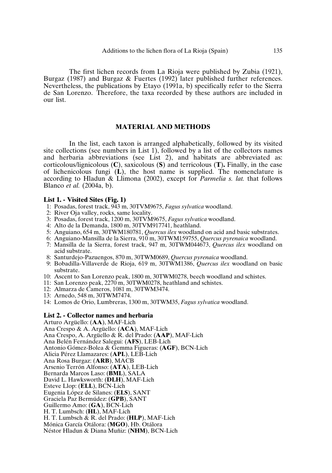The first lichen records from La Rioja were published by Zubia (1921), Burgaz (1987) and Burgaz & Fuertes (1992) later published further references. Nevertheless, the publications by Etayo (1991a, b) specifically refer to the Sierra de San Lorenzo. Therefore, the taxa recorded by these authors are included in our list.

### **MATERIAL AND METHODS**

In the list, each taxon is arranged alphabetically, followed by its visited site collections (see numbers in List 1), followed by a list of the collectors names and herbaria abbreviations (see List 2), and habitats are abbreviated as: corticolous/lignicolous (**C**), saxicolous (**S**) and terricolous (**T**)**.** Finally, in the case of lichenicolous fungi (**L**), the host name is supplied. The nomenclature is according to Hladun & Llimona (2002), except for *Parmelia s. lat.* that follows Blanco *et al.* (2004a, b).

#### **List 1. - Visited Sites (Fig. 1)**

- 1: Posadas, forest track, 943 m, 30TVM9675, *Fagus sylvatica* woodland.
- 2: River Oja valley, rocks, same locality.
- 3: Posadas, forest track, 1200 m, 30TVM9675, *Fagus sylvatica* woodland.
- 4: Alto de la Demanda, 1800 m, 30TVM917741, heathland.
- 5: Anguiano, 654 m, 30TWM180781, *Quercus ilex* woodland on acid and basic substrates.
- 6: Anguiano-Mansilla de la Sierra, 910 m, 30TWM159755, *Quercus pyrenaica* woodland.
- 7: Mansilla de la Sierra, forest track, 947 m, 30TWM044673, *Quercus ilex* woodland on acid substrate.
- 8: Santurdejo-Pazuengos, 870 m, 30TWM0689, *Quercus pyrenaica* woodland.
- 9: Bobadilla-Villaverde de Rioja, 619 m, 30TWM1386, *Quercus ilex* woodland on basic substrate.
- 10: Ascent to San Lorenzo peak, 1800 m, 30TWM0278, beech woodland and schistes.
- 11: San Lorenzo peak, 2270 m, 30TWM0278, heathland and schistes.
- 12: Almarza de Cameros, 1081 m, 30TWM3474.
- 13: Arnedo, 548 m, 30TWM7474.
- 14: Lomos de Orio, Lumbreras, 1300 m, 30TWM35, *Fagus sylvatica* woodland.

#### **List 2. - Collector names and herbaria**

Arturo Argüello: (**AA**), MAF-Lich Ana Crespo & A. Argüello: (**ACA**), MAF-Lich Ana Crespo, A. Argüello & R. del Prado: (**AAP**), MAF-Lich Ana Belén Fernández Salegui: (**AFS**), LEB-Lich Antonio Gómez-Bolea & Gemma Figueras: (**AGF**), BCN-Lich Alicia Pérez Llamazares: (**APL**), LEB-Lich Ana Rosa Burgaz: (**ARB**), MACB Arsenio Terrón Alfonso: (**ATA**), LEB-Lich Bernarda Marcos Laso: (**BML**), SALA David L. Hawksworth: (**DLH**), MAF-Lich Esteve Llop: (**ELL**), BCN-Lich Eugenia López de Silanes: (**ELS**), SANT Graciela Paz Bermúdez: (**GPB**), SANT Guillermo Amo: (**GA**), BCN-Lich H. T. Lumbsch: (**HL**), MAF-Lich H. T. Lumbsch & R. del Prado: (**HLP**), MAF-Lich Mónica García Otálora: (**MGO**), Hb. Otálora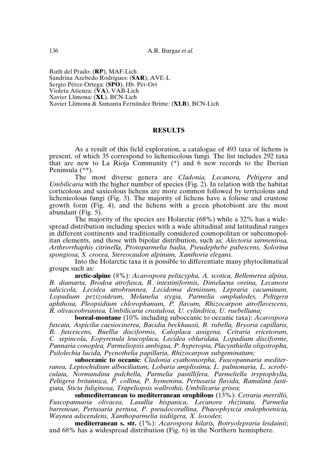Ruth del Prado: (**RP**), MAF-Lich Sandrina Azebedo Rodrigues: (**SAR**), AVE-L Sergio Pérez-Ortega: (**SPO**), Hb. Pér-Ort Violeta Atienza: (**VA**), VAB-Lich Xavier Llimona: (**XL**), BCN-Lich Xavier Llimona & Samanta Fernández Brime: (**XLB**), BCN-Lich

# **RESULTS**

As a result of this field exploration, a catalogue of 493 taxa of lichens is present, of which 35 correspond to lichenicolous fungi. The list includes 292 taxa that are new to La Rioja Community (\*) and 6 new records to the Iberian Peninsula (\*\*).

The most diverse genera are *Cladonia, Lecanora, Peltigera* and *Umbilicaria* with the higher number of species (Fig. 2). In relation with the habitat corticolous and saxicolous lichens are more common followed by terricolous and lichenicolous fungi (Fig. 3). The majority of lichens have a foliose and crustose growth form (Fig. 4), and the lichens with a green photobiont are the most abundant (Fig. 5).

The majority of the species are Holarctic (68%) while a 32% has a widespread distribution including species with a wide altitudinal and latitudinal ranges in different continents and traditionally considered cosmopolitan or subcomopolitan elements, and those with bipolar distribution, such as: *Alectoria sarmentosa, Arthrorrhaphis citrinella, Protoparmelia badia, Pseudephebe pubescens, Solorina spongiosa, S. crocea, Stereocaulon alpinum, Xanthoria elegans*.

Into the Holarctic taxa it is possible to differentiate many phytoclimatical groups such as:

**arctic-alpine** (8%): *Acarospora peliscypha, A. scotica, Bellemerea alpina, B. diamarta, Brodoa atrofusca, B. intestiniformis, Dimelaena oreina, Lecanora salicicola, Lecidea atrobrunnea, Lecidoma demissum, Lepraria cacuminum, Lopadium pezizoideum, Melanelia stygia, Parmelia omphalodes, Peltigera aphthosa, Pleopsidium chlorophanum, P. flavum, Rhizocarpon atroflavescens, R. olivaceobrunnea, Umbilicaria crustulosa, U. cylindrica, U. ruebelliana;*

**boreal-montane** (10% including suboceanic to oceanic taxa): *Acarospora fuscata, Aspicilia caesiocinerea, Bacidia beckhausii, B. rubella, Bryoria capillaris, B. fuscescens, Buellia disciformis, Caloplaca assigena, Cetraria ericetorum, C. sepincola, Eopyrenula leucoplaca, Lecidea obluridata, Lopadium disciforme, Pannaria conoplea, Parmeliopsis ambigua, P. hyperopta, Placynthiella oligotropha, Psilolechia lucida, Pycnothelia papillaria, Rhizocarpon subgeminatum;*

**suboceanic to oceanic**: *Cladonia cyathomorpha, Fuscopannaria mediterranea, Leptochidium albociliatum, Lobaria amplissima, L. pulmonaria, L. scrobiculata, Normandina pulchella, Parmelia pastillifera, Parmeliella tryptophylla, Peltigera britannica, P. collina, P. hymenina, Pertusaria flavida, Ramalina fastigiata, Sticta fuliginosa, Trapeliopsis wallrothii, Umbilicaria grisea;*

**submediterranean to mediterranean orophilous** (13%): *Cetraria merrillii, Fuscopannaria olivacea, Lasallia hispanica, Lecanora rhizinata*, *Parmelia barrenoae, Pertusaria pertusa, P. pseudocorallina, Phaeophyscia endophoenicia, Waynea adscendens, Xanthoparmelia isidiigera, X. loxodes*;

**mediterranean s. str.** (1%): *Acarospora hilaris, Botryolepraria lesdainii*; and 68% has a widespread distribution (Fig. 6) in the Northern hemisphere.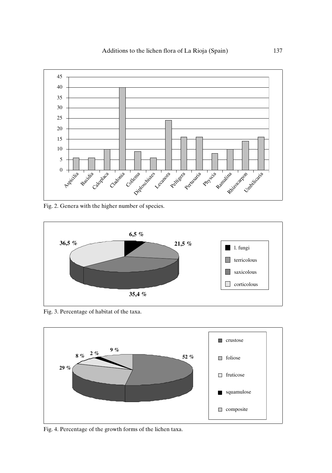

Fig. 2. Genera with the higher number of species.



Fig. 3. Percentage of habitat of the taxa.



Fig. 4. Percentage of the growth forms of the lichen taxa.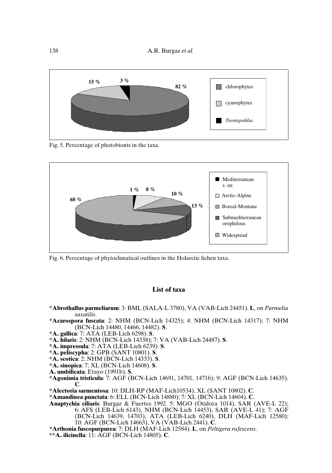

Fig. 5. Percentage of photobionts in the taxa.



Fig. 6. Percentage of phytoclimatical outlines in the Holarctic lichen taxa.

# **List of taxa**

- **\*Abrothallus parmeliarum**: 3: BML (SALA-L 3780), VA (VAB-Lich 24451). **L**, on *Parmelia saxatilis*.
- **\*Acarospora fuscata**: 2: NHM (BCN-Lich 14325); 4: NHM (BCN-Lich 14317); 7: NHM (BCN-Lich 14480, 14466, 14482). **S**.
- **\*A. gallica**: 7: ATA (LEB-Lich 6298). **S**.
- **\*A. hilaris**: 2: NHM (BCN-Lich 14338); 7: VA (VAB-Lich 24487). **S**.
- **\*A. impressula**: 7: ATA (LEB-Lich 6239). **S**.
- **\*A. peliscypha**: 2: GPB (SANT 10801). **S**.
- **\*A. scotica**: 2: NHM (BCN-Lich 14333). **S**.
- **\*A. sinopica**: 7: XL (BCN-Lich 14608). **S**.
- **A. umbilicata**: Etayo (1991b). **S**.
- **\*Agonimia tristicula**: 7: AGF (BCN-Lich 14691, 14701, 14716); 9: AGF (BCN-Lich 14635). **C**.
- **\*Alectoria sarmentosa**: 10: DLH-RP (MAF-Lich10534), XL (SANT 10802). **C**.
- **\*Amandinea punctata**: 6: ELL (BCN-Lich 14880); 7: XL (BCN-Lich 14604). **C**.
- **Anaptychia ciliaris**: Burgaz & Fuertes 1992. 5: MGO (Otálora 1014), SAR (AVE-L 22); 6: AFS (LEB-Lich 6143), NHM (BCN-Lich 14453), SAR (AVE-L 41); 7: AGF (BCN-Lich 14639, 14703), ATA (LEB-Lich 6240), DLH (MAF-Lich 12580); 10: AGF (BCN-Lich 14663), VA (VAB-Lich 2441). **C**.
- **\*Arthonia fuscopurpurea**: 7: DLH (MAF-Lich 12584). **L**, on *Peltigera rufescens*.
- **\*\*A. ilicinella**: 11: AGF (BCN-Lich 14805). **C**.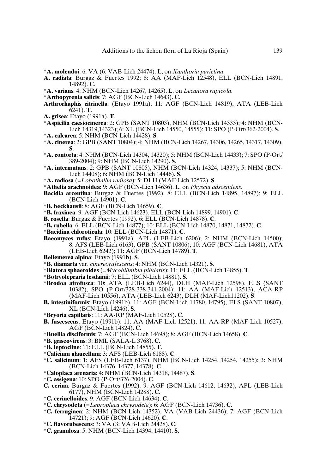- **\*A. molendoi**: 6: VA (6: VAB-Lich 24474). **L**, on *Xanthoria parietina*.
- **A. radiata**: Burgaz & Fuertes 1992; 8: AA (MAF-Lich 12548), ELL (BCN-Lich 14891, 14892). **C**.
- **\*A. varians**: 4: NHM (BCN-Lich 14267, 14265). **L**, on *Lecanora rupicola*.
- **\*Arthopyrenia salicis**: 7: AGF (BCN-Lich 14643). **C**.
- **Arthrorhaphis citrinella**: (Etayo 1991a); 11: AGF (BCN-Lich 14819), ATA (LEB-Lich 6241). **T**.
- **A. grisea**: Etayo (1991a). **T**.
- **\*Aspicilia caesiocinerea**: 2: GPB (SANT 10803), NHM (BCN-Lich 14333); 4: NHM (BCN-Lich 14319,14323); 6: XL (BCN-Lich 14550, 14555); 11: SPO (P-Ort/362-2004). **S**.
- **\*A. calcarea**: 5: NHM (BCN-Lich 14428). **S**.
- **\*A. cinerea**: 2: GPB (SANT 10804); 4: NHM (BCN-Lich 14267, 14306, 14265, 14317, 14309). **S**.
- **\*A. contorta**: 4: NHM (BCN-Lich 14304, 14320); 5: NHM (BCN-Lich 14433); 7: SPO (P-Ort/ 389-2004); 9: NHM (BCN-Lich 14290). **S**.
- **\*A. intermutans**: 2: GPB (SANT 10805), NHM (BCN-Lich 14324, 14337); 5: NHM (BCN-Lich 14408); 6: NHM (BCN-Lich 14446). **S**.
- **\*A. radiosa** (=*Lobothallia radiosa*): 5: DLH (MAF-Lich 12572). **S**.
- **\*Athelia arachnoidea**: 9: AGF (BCN-Lich 14636). **L**, on *Physcia adscendens*.
- **Bacidia arceutina**: Burgaz & Fuertes (1992). 8: ELL (BCN-Lich 14895, 14897); 9: ELL (BCN-Lich 14901). **C**.
- **\*B. beckhausii**: 8: AGF (BCN-Lich 14659). **C**.
- **\*B. fraxinea**: 9: AGF (BCN-Lich 14623), ELL (BCN-Lich 14899, 14901). **C**.
- **B. rosella**: Burgaz & Fuertes (1992). 6: ELL (BCN-Lich 14878). **C**.
- **\*B. rubella**: 6: ELL (BCN-Lich 14877); 10: ELL (BCN-Lich 14870, 14871, 14872). **C**.
- **\*Bacidina chloroticula**: 10: ELL (BCN-Lich 14871). **C**.
- **Baeomyces rufus**: Etayo (1991a). APL (LEB-Lich 6206); 2: NHM (BCN-Lich 14500); 8: AFS (LEB-Lich 6163), GPB (SANT 10806); 10: AGF (BCN-Lich 14681), ATA (LEB-Lich 6242); 11: AGF (BCN-Lich 14789). **T**.
- **Bellemerea alpina**: Etayo (1991b). **S**.
- **\*B. diamarta** var. *cinereorufescens*: 4: NHM (BCN-Lich 14321). **S**.
- **\*Biatora sphaeroides** (=*Mycobilimbia pilularis*): 11: ELL (BCN-Lich 14855). **T**.
- **\*Botryolepraria lesdainii**: 7: ELL (BCN-Lich 14881). **S**.
- **\*Brodoa atrofusca**: 10: ATA (LEB-Lich 6244), DLH (MAF-Lich 12598), ELS (SANT 10382), SPO (P-Ort/328-338-341-2004); 11: AA (MAF-Lich 12513), ACA-RP (MAF-Lich 10556), ATA (LEB-Lich 6243), DLH (MAF-Lich11202). **S**.
- **B. intestiniformis**: Etayo (1991b). 11: AGF (BCN-Lich 14780, 14795), ELS (SANT 10807), XL (BCN-Lich 14246). **S**.
- **\*Bryoria capillaris**: 11: AA-RP (MAF-Lich 10528). **C**.
- **B. fuscescens**: Etayo (1991b). 11: AA (MAF-Lich 12521), 11: AA-RP (MAF-Lich 10527), AGF (BCN-Lich 14824). **C**.
- **\*Buellia disciformis**: 7: AGF (BCN-Lich 14698); 8: AGF (BCN-Lich 14658). **C**.
- **\*B. griseovirens**: 3: BML (SALA-L 3768). **C**.
- **\*B. leptocline**: 11: ELL (BCN-Lich 14855). **T**.
- **\*Calicium glaucellum**: 3: AFS (LEB-Lich 6188). **C**.
- **\*C. salicinum**: 1: AFS (LEB-Lich 6137), NHM (BCN-Lich 14254, 14254, 14255); 3: NHM (BCN-Lich 14376, 14377, 14378). **C**.
- **\*Caloplaca arenaria**: 4: NHM (BCN-Lich 14318, 14487). **S**.
- **\*C. assigena**: 10: SPO (P-Ort/326-2004). **C**.
- **C. cerina**: Burgaz & Fuertes (1992). 9: AGF (BCN-Lich 14612, 14632), APL (LEB-Lich 6177), NHM (BCN-Lich 14288). **C**.
- **\*C. cerinelloides**: 9: AGF (BCN-Lich 14634). **C**.
- **\*C. chrysodeta** (=*Leproplaca chrysodeta*): 6: AGF (BCN-Lich 14736). **C**.
- **\*C. ferruginea**: 2: NHM (BCN-Lich 14352), VA (VAB-Lich 24436); 7: AGF (BCN-Lich 14721); 9: AGF (BCN-Lich 14620). **C**.
- **\*C. flavorubescens**: 3: VA (3: VAB-Lich 24428). **C**.
- **\*C. granulosa**: 5: NHM (BCN-Lich 14394, 14410). **S**.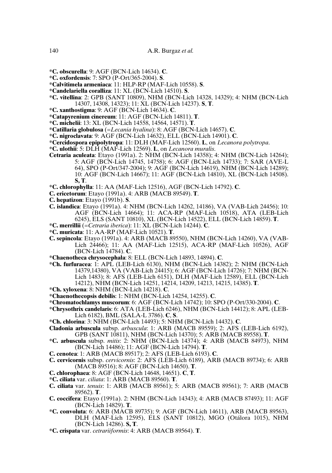- **\*C. obscurella**: 9: AGF (BCN-Lich 14634). **C**.
- **\*C. oxfordensis**: 7: SPO (P-Ort/365-2004). **S**.
- **\*Calvitimela armeniaca**: 11: HLP-RP (MAF-Lich 10558). **S**.
- **\*Candelariella coralliza**: 11: XL (BCN-Lich 14510). **S**.
- **\*C. vitellina**: 2: GPB (SANT 10809), NHM (BCN-Lich 14328, 14329); 4: NHM (BCN-Lich 14307, 14308, 14323); 11: XL (BCN-Lich 14237). **S**, **T**.
- **\*C. xanthostigma**: 9: AGF (BCN-Lich 14634). **C**.
- **\*Catapyrenium cinereum**: 11: AGF (BCN-Lich 14811). **T**.
- **\*C. michelii**: 13: XL (BCN-Lich 14558, 14564, 14571). **T**.
- **\*Catillaria globulosa** (=*Lecania hyalina*): 8: AGF (BCN-Lich 14657). **C**.
- **\*C. nigroclavata**: 9: AGF (BCN-Lich 14632), ELL (BCN-Lich 14901). **C**.
- **\*Cercidospora epipolytropa**: 11: DLH (MAF-Lich 12560). **L**, on *Lecanora polytropa*.
- **\*C. ulothii**: 5: DLH (MAF-Lich 12569). **L**, on *Lecanora muralis*.
- **Cetraria aculeata**: Etayo (1991a). 2: NHM (BCN-Lich 14358); 4: NHM (BCN-Lich 14264); 5: AGF (BCN-Lich 14745, 14758); 6: AGF (BCN-Lich 14733); 7: SAR (AVE-L 64), SPO (P-Ort/347-2004); 9: AGF (BCN-Lich 14619), NHM (BCN-Lich 14289); 10: AGF (BCN-Lich 14667); 11: AGF (BCN-Lich 14810), XL (BCN-Lich 14508). **S, T**.
- **\*C. chlorophylla**: 11: AA (MAF-Lich 12516), AGF (BCN-Lich 14792). **C**.
- **C. ericetorum**: Etayo (1991a). 4: ARB (MACB 89549). **T**.
- **C. hepatizon**: Etayo (1991b). **S**.
- **C. islandica**: Etayo (1991a). 4: NHM (BCN-Lich 14262, 14186), VA (VAB-Lich 24456); 10: AGF (BCN-Lich 14664); 11: ACA-RP (MAF-Lich 10518), ATA (LEB-Lich 6245), ELS (SANT 10810), XL (BCN-Lich 14522), ELL (BCN-Lich 14859). **T**.
- **\*C. merrillii** (=*Cetraria iberica*): 11: XL (BCN-Lich 14244). **C**.
- **\*C. muricata**: 11: AA-RP (MAF-Lich 10521). **T**.
- **C. sepincola**: Etayo (1991a). 4: ARB (MACB 89550), NHM (BCN-Lich 14260), VA (VAB-Lich 24466); 11: AA (MAF-Lich 12515), ACA-RP (MAF-Lich 10526), AGF (BCN-Lich 14784). **C**.
- **\*Chaenotheca chrysocephala**: 8: ELL (BCN-Lich 14893, 14894). **C**.
- **\*Ch. furfuracea**: 1: APL (LEB-Lich 6130), NHM (BCN-Lich 14382); 2: NHM (BCN-Lich 14379,14380), VA (VAB-Lich 24415); 6: AGF (BCN-Lich 14726); 7: NHM (BCN-Lich 1483); 8: AFS (LEB-Lich 6151), DLH (MAF-Lich 12589), ELL (BCN-Lich 14212), NHM (BCN-Lich 14251, 14214, 14209, 14213, 14215, 14385). **T**.
- **\*Ch. xyloxena**: 8: NHM (BCN-Lich 14218). **C**.
- **\*Chaenothecopsis debilis**: 1: NHM (BCN-Lich 14254, 14255). **C**.
- **\*Chromatochlamys muscorum**: 6: AGF (BCN-Lich 14742); 10: SPO (P-Ort/330-2004). **C**.
- **\*Chrysothrix candelaris**: 6: ATA (LEB-Lich 6246), NHM (BCN-Lich 14412); 8: APL (LEB-Lich 6182), BML (SALA-L 3786). **C**, **S**.
- **\*Ch. chlorina**: 3: NHM (BCN-Lich 14493); 5: NHM (BCN-Lich 14432). **C**.
- **Cladonia arbuscula** subsp. *arbuscula*: 1: ARB (MACB 89559); 2: AFS (LEB-Lich 6192), GPB (SANT 10811), NHM (BCN-Lich 14370); 5: ARB (MACB 89558). **T**.
- **\*C. arbuscula** subsp. *mitis*: 2: NHM (BCN-Lich 14374); 4: ARB (MACB 84973), NHM (BCN-Lich 14486); 11: AGF (BCN-Lich 14794). **T**.
- **C. cenotea**: 1: ARB (MACB 89517); 2: AFS (LEB-Lich 6193). **C**.
- **C. cervicornis** subsp. *cervicornis*: 2: AFS (LEB-Lich 6189), ARB (MACB 89734); 6: ARB (MACB 89516); 8: AGF (BCN-Lich 14650). **T**.
- **C. chlorophaea**: 8: AGF (BCN-Lich 14648, 14651). **C**, **T**.
- **\*C. ciliata** var. *ciliata*: 1: ARB (MACB 89560). **T**.
- **C. ciliata** var. *tenuis*: 1: ARB (MACB 89561); 5: ARB (MACB 89561); 7: ARB (MACB 89562). **T**.
- **C. coccifera**: Etayo (1991a). 2: NHM (BCN-Lich 14343); 4: ARB (MACB 87493); 11: AGF (BCN-Lich 14829). **T**.
- **\*C. convoluta**: 6: ARB (MACB 89735); 9: AGF (BCN-Lich 14611), ARB (MACB 89563), DLH (MAF-Lich 12595), ELS (SANT 10812), MGO (Otálora 1015), NHM (BCN-Lich 14286). **S, T**.
- **\*C. crispata** var. *cetrariiformis*: 4: ARB (MACB 89564). **T**.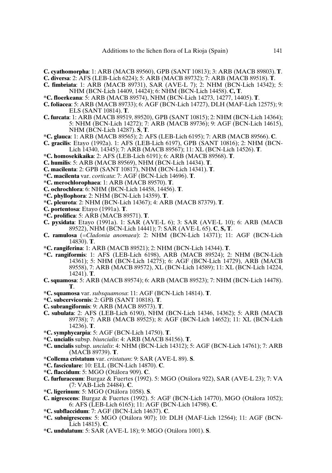**C. cyathomorpha**: 1: ARB (MACB 89560), GPB (SANT 10813); 3: ARB (MACB 89803). **T**.

- **C. diversa**: 2: AFS (LEB-Lich 6224); 5: ARB (MACB 89732); 7: ARB (MACB 89518). **T**.
- **C. fimbriata**: 1: ARB (MACB 89731), SAR (AVE-L 7); 2: NHM (BCN-Lich 14342); 5: NHM (BCN-Lich 14409, 14424); 6: NHM (BCN-Lich 14458). **C, T**.
- **\*C. floerkeana**: 5: ARB (MACB 89574), NHM (BCN-Lich 14273, 14277, 14405). **T**.
- **C. foliacea**: 5: ARB (MACB 89733); 6: AGF (BCN-Lich 14727), DLH (MAF-Lich 12575); 9: ELS (SANT 10814). **T**.
- **C. furcata**: 1: ARB (MACB 89519, 89520), GPB (SANT 10815); 2: NHM (BCN-Lich 14364); 5: NHM (BCN-Lich 14272); 7: ARB (MACB 89736); 9: AGF (BCN-Lich 14615), NHM (BCN-Lich 14287). **S**, **T**.
- **\*C. glauca**: 1: ARB (MACB 89565); 2: AFS (LEB-Lich 6195); 7: ARB (MACB 89566). **C**.
- **C. gracilis**: Etayo (1992a). 1: AFS (LEB-Lich 6197), GPB (SANT 10816); 2: NHM (BCN-Lich 14340, 14345); 7: ARB (MACB 89567); 11: XL (BCN-Lich 14526). **T**.
- **\*C. homosekikaika**: 2: AFS (LEB-Lich 6191); 6: ARB (MACB 89568). **T**.
- **C. humilis**: 5: ARB (MACB 89569), NHM (BCN-Lich 14434). **T**.
- **C. macilenta**: 2: GPB (SANT 10817), NHM (BCN-Lich 14341). **T**.
- \***C. macilenta** var. *corticata*: 7: AGF (BCN-Lich 14696). **T**.
- **\*C. merochlorophaea**: 1: ARB (MACB 89570). **T**.
- **C. ochrochlora**: 6: NHM (BCN-Lich 14458, 14456). **T**.
- **\*C. phyllophora**: 2: NHM (BCN-Lich 14359). **T**.
- **\*C. pleurota**: 2: NHM (BCN-Lich 14367); 4: ARB (MACB 87379). **T**.
- **C. portentosa**: Etayo (1991a). **T**.
- **\*C. prolifica**: 5: ARB (MACB 89571). **T**.
- **C. pyxidata**: Etayo (1991a). 1: SAR (AVE-L 6); 3: SAR (AVE-L 10); 6: ARB (MACB 89522), NHM (BCN-Lich 14441); 7: SAR (AVE-L 65). **C**, **S, T**.
- **C. ramulosa** (=*Cladonia anomaea*): 2: NHM (BCN-Lich 14371); 11: AGF (BCN-Lich 14830). **T**.
- **\*C. rangiferina**: 1: ARB (MACB 89521); 2: NHM (BCN-Lich 14344). **T**.
- **\*C. rangiformis**: 1: AFS (LEB-Lich 6198), ARB (MACB 89524); 2: NHM (BCN-Lich 14361); 5: NHM (BCN-Lich 14275); 6: AGF (BCN-Lich 14729), ARB (MACB 89558), 7: ARB (MACB 89572), XL (BCN-Lich 14589); 11: XL (BCN-Lich 14224, 14241). **T**.
- **C. squamosa**: 5: ARB (MACB 89574); 6: ARB (MACB 89523); 7: NHM (BCN-Lich 14478). **T**.
- **\*C. squamosa** var. *subsquamosa*: 11: AGF (BCN-Lich 14814). **T**.
- **\*C. subcervicornis**: 2: GPB (SANT 10818). **T**.
- **C. subrangiformis**: 9: ARB (MACB 89573). **T**.
- **C. subulata**: 2: AFS (LEB-Lich 6190), NHM (BCN-Lich 14346, 14362); 5: ARB (MACB 89738); 7: ARB (MACB 89525); 8: AGF (BCN-Lich 14652); 11: XL (BCN-Lich 14236). **T**.
- **\*C. symphycarpia**: 5: AGF (BCN-Lich 14750). **T**.
- **\*C. uncialis** subsp. *biuncialis*: 4: ARB (MACB 84156). **T**.
- **\*C. uncialis** subsp. *uncialis*: 4: NHM (BCN-Lich 14312); 5: AGF (BCN-Lich 14761); 7: ARB (MACB 89739). **T**.
- **\*Collema cristatum** var. *cristatum*: 9: SAR (AVE-L 89). **S**.
- **\*C. fasciculare**: 10: ELL (BCN-Lich 14870). **C**.
- **\*C. flaccidum**: 5: MGO (Otálora 909). **C**.
- **C. furfuraceum**: Burgaz & Fuertes (1992). 5: MGO (Otálora 922), SAR (AVE-L 23); 7: VA (7: VAB-Lich 24484). **C**.
- **\*C. ligerinum**: 5: MGO (Otálora 1058). **S**.
- **C. nigrescens**: Burgaz & Fuertes (1992). 5: AGF (BCN-Lich 14770), MGO (Otálora 1052); 6: AFS (LEB-Lich 6165); 11: AGF (BCN-Lich 14798). **C**.
- **\*C. subflaccidum**: 7: AGF (BCN-Lich 14637). **C**.
- **\*C. subnigrescens**: 5: MGO (Otálora 907); 10: DLH (MAF-Lich 12564); 11: AGF (BCN-Lich 14815). **C**.
- **\*C. undulatum**: 5: SAR (AVE-L 18); 9: MGO (Otálora 1001). **S**.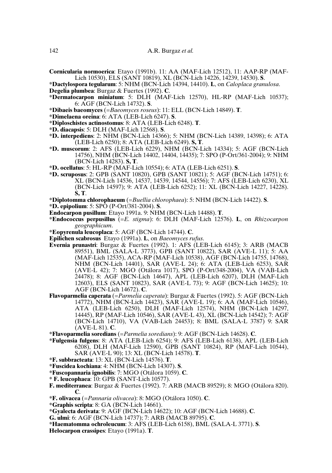- **Cornicularia normoerica**: Etayo (1991b). 11: AA (MAF-Lich 12512), 11: AAP-RP (MAF-Lich 10530), ELS (SANT 10819), XL (BCN-Lich 14226, 14239, 14530). **S**.
- **\*Dactylospora tegularum**: 5: NHM (BCN-Lich 14394, 14410). **L**, on *Caloplaca granulosa*. **Degelia plumbea**: Burgaz & Fuertes (1992). **C**.
- **\*Dermatocarpon miniatum**: 5: DLH (MAF-Lich 12570), HL-RP (MAF-Lich 10537); 6: AGF (BCN-Lich 14732). **S**.
- **\*Dibaeis baeomyces** (=*Baeomyces roseus*): 11: ELL (BCN-Lich 14849). **T**.
- **\*Dimelaena oreina**: 6: ATA (LEB-Lich 6247). **S**.
- **\*Diploschistes actinostomus**: 8: ATA (LEB-Lich 6248). **T**.
- **\*D. diacapsis**: 5: DLH (MAF-Lich 12568). **S**.
- **\*D. interpediens**: 2: NHM (BCN-Lich 14366); 5: NHM (BCN-Lich 14389, 14398); 6: ATA (LEB-Lich 6250); 8: ATA (LEB-Lich 6249). **S, T**.
- **\*D. muscorum**: 2: AFS (LEB-Lich 6229), NHM (BCN-Lich 14334); 5: AGF (BCN-Lich 14756), NHM (BCN-Lich 14402, 14404, 14435); 7: SPO (P-Ort/361-2004); 9: NHM (BCN-Lich 14283). **S, T**.
- **\*D. ocellatus**: 5: HL-RP (MAF-Lich 10554); 6: ATA (LEB-Lich 6251). **S**.
- **\*D. scruposus**: 2: GPB (SANT 10820), GPB (SANT 10821); 5: AGF (BCN-Lich 14751); 6: XL (BCN-Lich 14536, 14537, 14539, 14544, 14556); 7: AFS (LEB-Lich 6230), XL (BCN-Lich 14597); 9: ATA (LEB-Lich 6252); 11: XL (BCN-Lich 14227, 14228). **S, T**.
- **\*Diplotomma chlorophaeum** (=*Buellia chlorophaea*): 5: NHM (BCN-Lich 14422). **S**.
- **\*D. epipolium**: 5: SPO (P-Ort/381-2004). **S**.
- **Endocarpon pusillum**: Etayo 1991a. 9: NHM (BCN-Lich 14488). **T**.
- **\*Endococcus perpusillus** (=*E. stigma*): 6: DLH (MAF-Lich 12576). **L**, on *Rhizocarpon geographicum*.
- **\*Eopyrenula leucoplaca**: 5: AGF (BCN-Lich 14744). **C**.
- **Epilichen scabrosus** Etayo (1991a). **L**, on *Baeomyces rufus*.
- **Evernia prunastri**: Burgaz & Fuertes (1992). 1: AFS (LEB-Lich 6145); 3: ARB (MACB 89551), BML (SALA-L 3773), GPB (SANT 10822), SAR (AVE-L 11); 5: AA (MAF-Lich 12535), ACA-RP (MAF-Lich 10538), AGF (BCN-Lich 14755, 14768), NHM (BCN-Lich 14401), SAR (AVE-L 24); 6: ATA (LEB-Lich 6253), SAR (AVE-L 42); 7: MGO (Otálora 1017), SPO (P-Ort/348-2004), VA (VAB-Lich 24478); 8: AGF (BCN-Lich 14647), APL (LEB-Lich 6207), DLH (MAF-Lich 12603), ELS (SANT 10823), SAR (AVE-L 73); 9: AGF (BCN-Lich 14625); 10: AGF (BCN-Lich 14672). **C**.
- **Flavoparmelia caperata** (=*Parmelia caperata*): Burgaz & Fuertes (1992). 5: AGF (BCN-Lich 14772), NHM (BCN-Lich 14423), SAR (AVE-L 19); 6: AA (MAF-Lich 10546), ATA (LEB-Lich 6250), DLH (MAF-Lich 12574), NHM (BCN-Lich 14297, 14445), RP (MAF-Lich 10546), SAR (AVE-L 43), XL (BCN-Lich 14542); 7: AGF (BCN-Lich 14710), VA (VAB-Lich 24453); 8: BML (SALA-L 3787) 9: SAR (AVE-L 81). **C**.
- **\*Flavoparmelia soredians** (=*Parmelia soredians*): 9: AGF (BCN-Lich 14628). **C**.
- **\*Fulgensia fulgens**: 8: ATA (LEB-Lich 6254); 9: AFS (LEB-Lich 6138), APL (LEB-Lich 6208), DLH (MAF-Lich 12590), GPB (SANT 10824), RP (MAF-Lich 10544), SAR (AVE-L 90); 13: XL (BCN-Lich 14578). **T**.
- **\*F. subbracteata**: 13: XL (BCN-Lich 14576). **T**.
- **\*Fuscidea kochiana**: 4: NHM (BCN-Lich 14307). **S**.
- **\*Fuscopannaria ignobilis**: 7: MGO (Otálora 1059). **C**.
- **\* F. leucophaea**: 10: GPB (SANT-Lich 10577).
- **F. mediterranea**: Burgaz & Fuertes (1992). 7: ARB (MACB 89529); 8: MGO (Otálora 820). **C**.
- **\*F. olivacea** (=*Pannaria olivacea*): 8: MGO (Otálora 1050). **C**.
- **\*Graphis scripta**: 8: GA (BCN-Lich 14661).
- **\*Gyalecta derivata**: 9: AGF (BCN-Lich 14622); 10: AGF (BCN-Lich 14688). **C**.
- **G. ulmi**: 6: AGF (BCN-Lich 14737); 7: ARB (MACB 89795). **C**.
- **\*Haematomma ochroleucum**: 3: AFS (LEB-Lich 6158), BML (SALA-L 3771). **S**.
- **Helocarpon crassipes**: Etayo (1991a). **T**.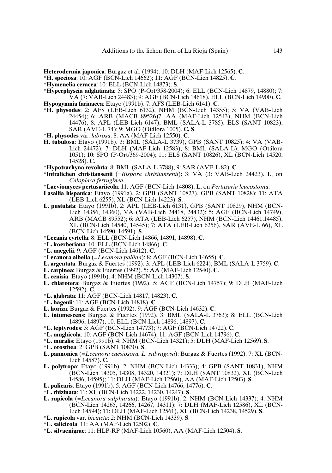**Heterodermia japonica**: Burgaz et al. (1994). 10: DLH (MAF-Lich 12565). **C**.

- **\*H. speciosa**: 10: AGF (BCN-Lich 14662); 11: AGF (BCN-Lich 14825). **C**.
- **\*Hymenelia ceracea**: 10: ELL (BCN-Lich 14873). **S**.
- **\*Hyperphyscia adglutinata**: 5: SPO (P-Ort/358-2004); 6: ELL (BCN-Lich 14879, 14880); 7: VA (7: VAB-Lich 24483); 9: AGF (BCN-Lich 14618), ELL (BCN-Lich 14900). **C**. **Hypogymnia farinacea**: Etayo (1991b). 7: AFS (LEB-Lich 6141). **C**.
- **\*H. physodes**: 2: AFS (LEB-Lich 6132), NHM (BCN-Lich 14355); 5: VA (VAB-Lich 24454); 6: ARB (MACB 89526)7: AA (MAF-Lich 12543), NHM (BCN-Lich 14476); 8: APL (LEB-Lich 6147), BML (SALA-L 3785), ELS (SANT 10823), SAR (AVE-L 74); 9: MGO (Otálora 1005). **C, S**.
- **\*H. physodes** var. *labrosa*: 8: AA (MAF-Lich 12550). **C**.
- **H. tubulosa**: Etayo (1991b). 3: BML (SALA-L 3739), GPB (SANT 10825); 4: VA (VAB-Lich 24472); 7: DLH (MAF-Lich 12583); 8: BML (SALA-L), MGO (Otálora 1051); 10: SPO (P-Ort/369-2004); 11: ELS (SANT 10826), XL (BCN-Lich 14520, 14528). **C**.
- **\*Hypotrachyna revoluta**: 8: BML (SALA-L 3788); 9: SAR (AVE-L 82). **C**.
- **\*Intralichen christiansenii** (=*Bispora christiansenii*): 3: VA (3: VAB-Lich 24423). **L**, on *Caloplaca ferruginea*.
- **\*Laeviomyces pertusariicola**: 11: AGF (BCN-Lich 14808). **L**, on *Pertusaria leucostoma*.
- **Lasallia hispanica**: Etayo (1991a). 2: GPB (SANT 10827), GPB (SANT 10828); 11: ATA (LEB-Lich 6255), XL (BCN-Lich 14223). **S**.
- **L. pustulata**: Etayo (1991b). 2: APL (LEB-Lich 6131), GPB (SANT 10829), NHM (BCN-Lich 14356, 14360), VA (VAB-Lich 24418, 24432); 5: AGF (BCN-Lich 14749), ARB (MACB 89552); 6: ATA (LEB-Lich 6257), NHM (BCN-Lich 14461,14485), XL (BCN-Lich 14540, 14545); 7: ATA (LEB-Lich 6256), SAR (AVE-L 66), XL (BCN-Lich 14590, 14591). **S**.
- **\*Lecania cyrtella**: 8: ELL (BCN-Lich 14866, 14891, 14898). **C**.
- **\*L. koerberiana**: 10: ELL (BCN-Lich 14866). **C**.
- **\*L. naegelii**: 9: AGF (BCN-Lich 14612). **C**.
- **\*Lecanora albella** (=*Lecanora pallida*): 8: AGF (BCN-Lich 14655). **C**.
- **L. argentata**: Burgaz & Fuertes (1992). 3: APL (LEB-Lich 6224), BML (SALA-L 3759). **C**.
- **L. carpinea**: Burgaz & Fuertes (1992). 5: AA (MAF-Lich 12540). **C**.
- **L. cenisia**: Etayo (1991b). 4: NHM (BCN-Lich 14307). **S**.
- **L. chlarotera**: Burgaz & Fuertes (1992). 5: AGF (BCN-Lich 14757); 9: DLH (MAF-Lich 12592). **C**.
- **\*L. glabrata**: 11: AGF (BCN-Lich 14817, 14823). **C**.
- **\*L. hagenii**: 11: AGF (BCN-Lich 14818). **C**.
- **L. horiza**: Burgaz & Fuertes (1992). 9: AGF (BCN-Lich 14632). **C**.
- **L. intumescens**: Burgaz & Fuertes (1992). 3: BML (SALA-L 3763); 8: ELL (BCN-Lich 14896, 14897); 10: ELL (BCN-Lich 14896, 14897). **C**.
- **\*L. leptyrodes**: 5: AGF (BCN-Lich 14773); 7: AGF (BCN-Lich 14722). **C**.
- **\*L. mughicola**: 10: AGF (BCN-Lich 14674); 11: AGF (BCN-Lich 14796). **C**.
- **\*L. muralis**: Etayo (1991b). 4: NHM (BCN-Lich 14321); 5: DLH (MAF-Lich 12569). **S**.
- **\*L. orosthea**: 2: GPB (SANT 10830). **S**.
- **L. pannonica** (=*Lecanora caesiosora*, *L. subrugosa*): Burgaz & Fuertes (1992). 7: XL (BCN-Lich 14587). **C**.
- **L. polytropa**: Etayo (1991b). 2: NHM (BCN-Lich 14333); 4: GPB (SANT 10831), NHM (BCN-Lich 14305, 14308, 14320, 14321); 7: DLH (SANT 10832), XL (BCN-Lich 14586, 14595); 11: DLH (MAF-Lich 12560), AA (MAF-Lich 12503). **S**.
- **L. pulicaris**: Etayo (1991b). 5: AGF (BCN-Lich 14766, 14776). **C**.
- **\*L. rhizinata**: 11: XL (BCN-Lich 14222, 14230, 14247). **S**.
- **L. rupicola** (=*Lecanora sulphurata*): Etayo (1991b). 2: NHM (BCN-Lich 14337); 4: NHM (BCN-Lich 14265, 14266, 14267, 14311); 7: DLH (MAF-Lich 12586), XL (BCN-Lich 14594); 11: DLH (MAF-Lich 12561), XL (BCN-Lich 14238, 14529). **S**.
- **\*L. rupicola** var. *bicincta*: 2: NHM (BCN-Lich 14339). **S**.
- **\*L. salicicola**: 11: AA (MAF-Lich 12502). **C**.
- **\*L. silvaenigrae**: 11: HLP-RP (MAF-Lich 10560), AA (MAF-Lich 12504). **S**.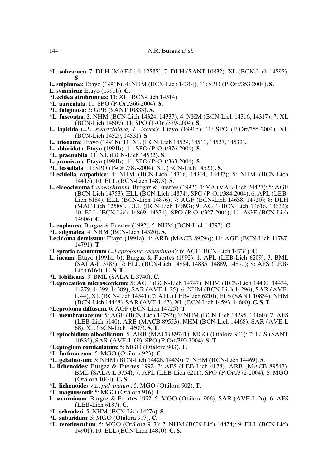- **\*L. subcarnea**: 7: DLH (MAF-Lich 12585), 7: DLH (SANT 10832), XL (BCN-Lich 14595). **S**.
- **L. sulphurea**: Etayo (1991b). 4: NHM (BCN-Lich 14314); 11: SPO (P-Ort/353-2004). **S**.
- **L. symmicta**: Etayo (1991b). **C**.
- **\*Lecidea atrobrunnea**: 11: XL (BCN-Lich 14514).
- **\*L. auriculata**: 11: SPO (P-Ort/366-2004). **S**.
- **\*L. fuliginosa**: 2: GPB (SANT 10833). **S**.
- **\*L. fuscoatra**: 2: NHM (BCN-Lich 14324, 14337); 4: NHM (BCN-Lich 14316, 14317); 7: XL (BCN-Lich 14609); 11: SPO (P-Ort/379-2004). **S**.
- **L. lapicida** (=*L. swartzioidea, L. lactea*): Etayo (1991b): 11: SPO (P-Ort/355-2004), XL (BCN-Lich 14529, 14531). **S**.
- **L. luteoatra**: Etayo (1991b). 11: XL (BCN-Lich 14529, 14511, 14527, 14532).
- **L. obluridata**: Etayo (1991b). 11: SPO (P-Ort/376-2004). **S**.
- **\*L. praenubila**: 11: XL (BCN-Lich 14532). **S**.
- **L. promiscua**: Etayo (1991b). 11: SPO (P-Ort/363-2004). **S**.
- **\*L. tessellata**: 11: SPO (P-Ort/387-2004), XL (BCN-Lich 14523). **S**.
- **\*Lecidella carpathica**: 4: NHM (BCN-Lich 14316, 14304, 14487); 5: NHM (BCN-Lich 14415); 10: ELL (BCN-Lich 14873). **S**.
- **L. elaeochroma** f. *elaeochroma*: Burgaz & Fuertes (1992). 1: VA (VAB-Lich 24427); 5: AGF (BCN-Lich 14753), ELL (BCN-Lich 14874), SPO (P-Ort/384-2004); 6: APL (LEB-Lich 6184), ELL (BCN-Lich 14876); 7: AGF (BCN-Lich 14638, 14720); 8: DLH (MAF-Lich 12588), ELL (BCN-Lich 14893); 9: AGF (BCN-Lich 14616, 14632); 10: ELL (BCN-Lich 14869, 14871), SPO (P-Ort/327-2004); 11: AGF (BCN-Lich 14806). **C**.
- **L. euphorea**: Burgaz & Fuertes (1992). 5: NHM (BCN-Lich 14393). **C**.
- **\*L. stigmatea**: 4: NHM (BCN-Lich 14320). **S**.
- **Lecidoma demissum**: Etayo (1991a). 4: ARB (MACB 89796); 11: AGF (BCN-Lich 14787, 14791). **T**.
- **\*Lepraria cacuminum** (=*Leproloma cacuminum*): 6: AGF (BCN-Lich 14734). **C**.
- **L. incana**: Etayo (1991a, b); Burgaz & Fuertes (1992). 1: APL (LEB-Lich 6209); 3: BML (SALA-L 3783); 7: ELL (BCN-Lich 14884, 14885, 14889, 14890); 8: AFS (LEB-Lich 6164). **C**, **S**, **T**.
- **\*L. lobificans**: 3: BML (SALA-L 3740). **C**.
- **\*Leprocaulon microscopicum**: 5: AGF (BCN-Lich 14747), NHM (BCN-Lich 14400, 14434, 14279, 14399, 14389), SAR (AVE-L 25); 6: NHM (BCN-Lich 14296), SAR (AVE-L 44), XL (BCN-Lich 14541); 7: APL (LEB-Lich 6210), ELS (SANT 10834), NHM (BCN-Lich 14468), SAR (AVE-L 67), XL (BCN-Lich 14593, 14600).**C, S**, **T**.
- **\*Leproloma diffusum**: 6: AGF (BCN-Lich 14725). **T**.
- **\*L. membranaceum**: 5: AGF (BCN-Lich 14752); 6: NHM (BCN-Lich 14295, 14460); 7: AFS (LEB-Lich 6140), ARB (MACB 89553), NHM (BCN-Lich 14468), SAR (AVE-L 68), XL (BCN-Lich 14607). **S**, **T**.
- **\*Leptochidium albociliatum**: 5: ARB (MACB 89741), MGO (Otálora 901); 7: ELS (SANT 10835), SAR (AVE-L 69), SPO (P-Ort/390-2004). **S**, **T**.
- **\*Leptogium corniculatum**: 5: MGO (Otálora 903). **T**.
- **\*L. furfuraceum**: 5: MGO (Otálora 923). **C**.
- **\*L. gelatinosum**: 5: NHM (BCN-Lich 14428, 14430); 7: NHM (BCN-Lich 14469). **S**.
- **L. lichenoides**: Burgaz & Fuertes 1992. 3: AFS (LEB-Lich 6178), ARB (MACB 89543), BML (SALA-L 3754); 7: APL (LEB-Lich 6211), SPO (P-Ort/372-2004); 8: MGO (Otálora 1044). **C, S**.
- **\*L. lichenoides** var. *pulvinatum*: 5: MGO (Otálora 902). **T**.
- **\*L. magnussonii**: 5: MGO (Otálora 916). **C**.
- **L. saturninum**: Burgaz & Fuertes 1992. 5: MGO (Otálora 906), SAR (AVE-L 26): 6: AFS (LEB-Lich 6187). **C**.
- **\*L. schraderi**: 5: NHM (BCN-Lich 14276). **S**.
- **\*L. subaridum**: 5: MGO (Otálora 917). **C**.
- **\*L. teretiusculum**: 5: MGO (Otálora 913); 7: NHM (BCN-Lich 14474); 9: ELL (BCN-Lich 14901); 10: ELL (BCN-Lich 14870). **C, S**.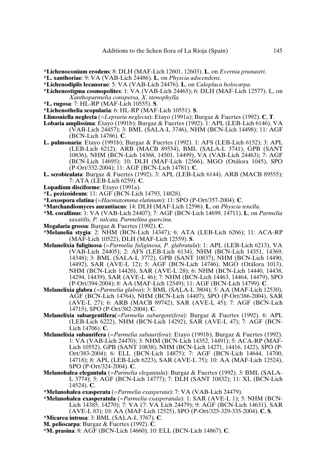- **\*Lichenoconium erodens**: 8: DLH (MAF-Lich 12601, 12603). **L**, on *Evernia prunastri*.
- **\*L. xanthoriae**: 9: VA (VAB-Lich 24486). **L**, on *Physcia adscendens*.
- **\*Lichenodiplis lecanorae**: 5: VA (VAB-Lich 24476). **L**, on *Caloplaca holocarpa*.
- **\*Lichenostigma cosmopolites**: 1: VA (VAB-Lich 24465); 6: DLH (MAF-Lich 12577). L, on *Xanthoparmelia conspersa, X. stenophylla*.
- **\*L. rugosa**: 7: HL-RP (MAF-Lich 10555). **S**.
- **\*Lichenothelia scopularia**: 6: HL-RP (MAF-Lich 10551). **S**.
- **Llimoniella neglecta** (=*Lepraria neglecta*): Etayo (1991a); Burgaz & Fuertes (1992). **C**, **T**.
- **Lobaria amplissima**: Etayo (1991b); Burgaz & Fuertes (1992). 1: APL (LEB-Lich 6146), VA (VAB-Lich 24457); 3: BML (SALA-L 3746), NHM (BCN-Lich 14498); 11: AGF (BCN-Lich 14786). **C**.
- **L. pulmonaria**: Etayo (1991b); Burgaz & Fuertes (1992). 1: AFS (LEB-Lich 6152); 3: APL (LEB-Lich 6212), ARB (MACB 89554), BML (SALA-L 3741), GPB (SANT 10836), NHM (BCN-Lich 14368, 14501, 14499), VA (VAB-Lich 24463); 7: AGF (BCN-Lich 14695); 10: DLH (MAF-Lich 12566), MGO (Otálora 1045), SPO (P-Ort/332-2004); 11: AGF (BCN-Lich 14781). **C**.
- **L. scrobiculata**: Burgaz & Fuertes (1992). 3: APL (LEB-Lich 6144), ARB (MACB 89555); 7: ATA (LEB-Lich 6259). **C**.
- **Lopadium disciforme**: Etayo (1991a).
- **\*L. pezizoideum**: 11: AGF (BCN-Lich 14793, 14828).
- **\*Loxospora elatina** (=*Haematomma elatinum*): 11: SPO (P-Ort/357-2004). **C**.
- **\*Marchandiomyces aurantiacus**: 14: DLH (MAF-Lich 12596). **L**, on *Physcia tenella*.
- **\*M. corallinus**: 1: VA (VAB-Lich 24407); 7: AGF (BCN-Lich 14699, 14711). **L**, on *Parmelia saxatilis, P. sulcata, Parmelina quercina*.
- **Megalaria grossa**: Burgaz & Fuertes (1992). **C**.
- **\*Melanelia stygia**: 2: NHM (BCN-Lich 14347); 6: ATA (LEB-Lich 6266); 11: ACA-RP (MAF-Lich 10522), DLH (MAF-Lich 12559). **S**.
- **Melanelixia fuliginosa** (=*Parmelia fuliginosa, P. glabratula*): 1: APL (LEB-Lich 6213), VA (VAB-Lich 24405); 2: AFS (LEB-Lich 6134), NHM (BCN-Lich 14351, 14369, 14348); 3: BML (SALA-L 3772), GPB (SANT 10837), NHM (BCN-Lich 14490, 14492), SAR (AVE-L 12); 5: AGF (BCN-Lich 14746), MGO (Otálora 1013), NHM (BCN-Lich 14420), SAR (AVE-L 28); 6: NHM (BCN-Lich 14440, 14438, 14294, 14439), SAR (AVE-L 46); 7: NHM (BCN-Lich 14463, 14464, 14479), SPO (P-Ort/394-2004); 8: AA (MAF-Lich 12549); 11: AGF (BCN-Lich 14799). **C**.
- **Melanelixia glabra** (=*Parmelia glabra*): 3: BML (SALA-L 3804); 5: AA (MAF-Lich 12530), AGF (BCN-Lich 14764), NHM (BCN-Lich 14407), SPO (P-Ort/386-2004), SAR (AVE-L 27); 6: ARB (MACB 89742), SAR (AVE-L 45); 7: AGF (BCN-Lich 14715), SPO (P-Ort/382-2004). **C**.
- **Melanelixia subargentifera**(=*Parmelia subargentifera*): Burgaz & Fuertes (1992). 6: APL (LEB-Lich 6222), NHM (BCN-Lich 14292), SAR (AVE-L 47); 7: AGF (BCN-Lich 14706). **C**.
- **Melanelixia subaurifera** (=*Parmelia subaurifera*): Etayo (1991b), Burgaz & Fuertes (1992). 1: VA (VAB-Lich 24470); 3: NHM (BCN-Lich 14352, 14491); 5: ACA-RP (MAF-Lich 10552), GPB (SANT 10838), NHM (BCN-Lich 14271, 14416, 1422), SPO (P-Ort/383-2004); 6: ELL (BCN-Lich 14875); 7: AGF (BCN-Lich 14644, 14700, 14718); 8: APL (LEB-Lich 6223), SAR (AVE-L 75); 10: AA (MAF-Lich 12524), SPO (P-Ort/324-2004). **C**.
- **Melanohalea elegantula** (=*Parmelia elegantula*): Burgaz & Fuertes (1992). 3: BML (SALA-L 3774); 5: AGF (BCN-Lich 14777); 7: DLH (SANT 10832); 11: XL (BCN-Lich 14524). **C**.
- **\*Melanohalea exasperata** (=*Parmelia exasperata*): 7: VA (VAB-Lich 24479).
- **\*Melanohalea exasperatula** (=*Parmelia exasperatula*): 1: SAR (AVE-L 1); 5: NHM (BCN-Lich 14385, 14270); 7: VA (7: VA Lich 24479); 9: AGF (BCN-Lich 14631), SAR (AVE-L 83); 10: AA (MAF-Lich 12525), SPO (P-Ort/325-329-335-2004). **C**, **S**.
- **\*Micarea intrusa**: 3: BML (SALA-L 3767). **C**.
- **M. peliocarpa**: Burgaz & Fuertes (1992). **C**.
- **\*M. prasina**: 8: AGF (BCN-Lich 14660); 10: ELL (BCN-Lich 14867). **C**.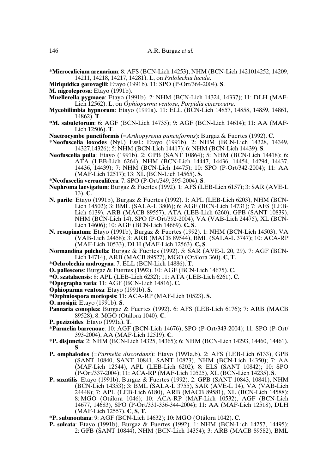**\*Microcalicium arenarium**: 8: AFS (BCN-Lich 14253), NHM (BCN-Lich 1421014252, 14209, 14211, 14218, 14217, 14281). L, on *Psilolechia lucida*.

- **Miriquidica garovaglii**: Etayo (1991b). 11: SPO (P-Ort/364-2004). **S**.
- **M. nigroleprosa**: Etayo (1991b).

**Muellerella pygmaea**: Etayo (1991b). 2: NHM (BCN-Lich 14324, 14337); 11: DLH (MAF-Lich 12562). **L**, on *Ophioparma ventosa*, *Porpidia cinereoatra*.

- **Mycobilimbia hypnorum**: Etayo (1991a). 11: ELL (BCN-Lich 14857, 14858, 14859, 14861, 14862). **T**.
- **\*M. sabuletorum**: 6: AGF (BCN-Lich 14735); 9: AGF (BCN-Lich 14614); 11: AA (MAF-Lich 12506). **T**.

**Naetrocymbe punctiformis** (=*Arthopyrenia punctiformis*): Burgaz & Fuertes (1992). **C**.

- **\*Neofuscelia loxodes** (Nyl.) Essl.: Etayo (1991b). 2: NHM (BCN-Lich 14328, 14349, 14327,14326); 5: NHM (BCN-Lich 14417); 6: NHM (BCN-Lich 14439). **S**.
- **Neofuscelia pulla**: Etayo (1991b). 2: GPB (SANT 10864); 5: NHM (BCN-Lich 14418); 6: ATA (LEB-Lich 6264), NHM (BCN-Lich 14447, 14436, 14454, 14294, 14437, 14436, 14439); 7: NHM (BCN-Lich 14475); 10: SPO (P-Ort/342-2004); 11: AA (MAF-Lich 12517); 13: XL (BCN-Lich 14565). **S**.
- **\*Neofuscelia verruculifera**: 7: SPO (P-Ort/349, 395-2004). **S**.
- **Nephroma laevigatum**: Burgaz & Fuertes (1992). 1: AFS (LEB-Lich 6157); 3: SAR (AVE-L 13). **C**.
- **N. parile**: Etayo (1991b), Burgaz & Fuertes (1992). 1: APL (LEB-Lich 6203), NHM (BCN-Lich 14502); 3: BML (SALA-L 3806); 6: AGF (BCN-Lich 14731); 7: AFS (LEB-Lich 6139), ARB (MACB 89557), ATA (LEB-Lich 6260), GPB (SANT 10839), NHM (BCN-Lich 14), SPO (P-Ort/392-2004), VA (VAB-Lich 24475), XL (BCN-Lich 14606); 10: AGF (BCN-Lich 14669). **C, S**.
- **N. resupinatum**: Etayo (1991b), Burgaz & Fuertes (1992). 1: NHM (BCN-Lich 14503), VA (VAB-Lich 24458); 3: ARB (MACB 89544), BML (SALA-L 3747); 10: ACA-RP (MAF-Lich 10533), DLH (MAF-Lich 12563). **C, S**.
- **Normandina pulchella**: Burgaz & Fuertes (1992). 5: SAR (AVE-L 20, 29). 7: AGF (BCN-Lich 14714), ARB (MACB 89527), MGO (Otálora 360). **C**, **T**.
- **\*Ochrolechia androgyna**: 7: ELL (BCN-Lich 14886). **T**.
- **O. pallescens**: Burgaz & Fuertes (1992). 10: AGF (BCN-Lich 14675). **C**.
- **\*O. szatalaensis**: 8: APL (LEB-Lich 6232); 11: ATA (LEB-Lich 6261). **C**.
- **\*Opegrapha varia**: 11: AGF (BCN-Lich 14816). **C**.
- **Ophioparma ventosa**: Etayo (1991b). **S**.
- **\*Orphniospora moriopsis**: 11: ACA-RP (MAF-Lich 10523). **S**.
- **O. mosigii**: Etayo (1991b). **S**.
- **Pannaria conoplea**: Burgaz & Fuertes (1992). 6: AFS (LEB-Lich 6176); 7: ARB (MACB 89528); 8: MGO (Otálora 1040). **C**.
- **P. pezizoides**: Etayo (1991a). **T**.
- **\*Parmelia barrenoae**: 10: AGF (BCN-Lich 14676), SPO (P-Ort/343-2004); 11: SPO (P-Ort/ 393-2004), AA (MAF-Lich 12519). **C**.
- **\*P. disjuncta**: 2: NHM (BCN-Lich 14325, 14365); 6: NHM (BCN-Lich 14293, 14460, 14461). **S**.
- **P. omphalodes** (=*Parmelia discordans*): Etayo (1991a,b). 2: AFS (LEB-Lich 6133), GPB (SANT 10840, SANT 10841, SANT 10823), NHM (BCN-Lich 14350); 7: AA (MAF-Lich 12544), APL (LEB-Lich 6202); 8: ELS (SANT 10842); 10: SPO (P-Ort/337-2004); 11: ACA-RP (MAF-Lich 10525), XL (BCN-Lich 14235). **S**.
- **P. saxatilis**: Etayo (1991b), Burgaz & Fuertes (1992). 2: GPB (SANT 10843, 10841), NHM (BCN-Lich 14353); 3: BML (SALA-L 3755), SAR (AVE-L 14), VA (VAB-Lich 24448); 7: APL (LEB-Lich 6180), ARB (MACB 89581), XL (BCN-Lich 14588); 8: MGO (Otálora 1046); 10: ACA-RP (MAF-Lich 10532), AGF (BCN-Lich 14677, 14683), SPO (P-Ort/331-336-344-2004); 11: AA (MAF-Lich 12518), DLH (MAF-Lich 12557). **C**, **S**, **T**.
- **\*P. submontana**: 9: AGF (BCN-Lich 14632); 10: MGO (Otálora 1042). **C**.
- **P. sulcata**: Etayo (1991b), Burgaz & Fuertes (1992). 1: NHM (BCN-Lich 14257, 14495); 2: GPB (SANT 10844), NHM (BCN-Lich 14354); 3: ARB (MACB 89582), BML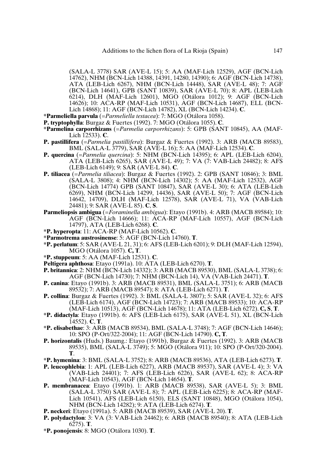(SALA-L 3778) SAR (AVE-L 15); 5: AA (MAF-Lich 12529), AGF (BCN-Lich 14762), NHM (BCN-Lich 14388, 14391, 14280, 14390); 6: AGF (BCN-Lich 14738), ATA (LEB-Lich 6267), NHM (BCN-Lich 14448), SAR (AVE-L 48); 7: AGF (BCN-Lich 14641), GPB (SANT 10839), SAR (AVE-L 70); 8: APL (LEB-Lich 6214), DLH (MAF-Lich 12601), MGO (Otálora 1012); 9: AGF (BCN-Lich 14626); 10: ACA-RP (MAF-Lich 10531), AGF (BCN-Lich 14687), ELL (BCN-Lich 14868); 11: AGF (BCN-Lich 14782), XL (BCN-Lich 14234). **C**.

**\*Parmeliella parvula** (=*Parmeliella testacea*): 7: MGO (Otálora 1058).

- **P. tryptophylla**: Burgaz & Fuertes (1992). 7: MGO (Otálora 1055). **C**.
- **\*Parmelina carporrhizans** (=*Parmelia carporrhizans*): 5: GPB (SANT 10845), AA (MAF-Lich 12533). **C**.
- **P. pastillifera** (=*Parmelia pastillifera*): Burgaz & Fuertes (1992). 3: ARB (MACB 89583), BML (SALA-L 3779), SAR (AVE-L 16); 5: AA (MAF-Lich 12534). **C**.
- **P. quercina** (=*Parmelia quercina*): 5: NHM (BCN-Lich 14395); 6: APL (LEB-Lich 6204), ATA (LEB-Lich 6265), SAR (AVE-L 49); 7: VA (7: VAB-Lich 24482); 8: AFS (LEB-Lich 6149); 9: SAR (AVE-L 84). **C**.
- **P. tiliacea** (=*Parmelia tiliacea*): Burgaz & Fuertes (1992). 2: GPB (SANT 10846); 3: BML (SALA-L 3808); 4: NHM (BCN-Lich 14302); 5: AA (MAF-Lich 12532), AGF (BCN-Lich 14774) GPB (SANT 10847), SAR (AVE-L 30); 6: ATA (LEB-Lich 6269), NHM (BCN-Lich 14299, 14436), SAR (AVE-L 50); 7: AGF (BCN-Lich 14642, 14709), DLH (MAF-Lich 12578), SAR (AVE-L 71), VA (VAB-Lich 24481); 9: SAR (AVE-L 85). **C**, **S**.
- **Parmeliopsis ambigua** (=*Foraminella ambigua*): Etayo (1991b). 4: ARB (MACB 89584); 10: AGF (BCN-Lich 14666); 11: ACA-RP (MAF-Lich 10557), AGF (BCN-Lich 14797), ATA (LEB-Lich 6268). **C**.
- **\*P. hyperopta**: 11: ACA-RP (MAF-Lich 10562). **C**.
- **\*Parmotrema austrosinense**: 5: AGF (BCN-Lich 14760). **T**.
- **\*P. perlatum**: 5: SAR (AVE-L 21, 31); 6: AFS (LEB-Lich 6201); 9: DLH (MAF-Lich 12594), MGO (Otálora 1057). **C, T**.
- **\*P. stuppeum**: 5: AA (MAF-Lich 12531). **C**.
- **Peltigera aphthosa**: Etayo (1991a). 10: ATA (LEB-Lich 6270). **T**.
- **P. britannica**: 2: NHM (BCN-Lich 14332); 3: ARB (MACB 89530), BML (SALA-L 3738); 6: AGF (BCN-Lich 14730); 7: NHM (BCN-Lich 14), VA (VAB-Lich 24471). **T**.
- **P. canina**: Etayo (1991b). 3: ARB (MACB 89531), BML (SALA-L 3751); 6: ARB (MACB 89532); 7: ARB (MACB 89547); 8: ATA (LEB-Lich 6271). **T**.
- **P. collina**: Burgaz & Fuertes (1992). 3: BML (SALA-L 3807); 5: SAR (AVE-L 32); 6: AFS (LEB-Lich 6174), AGF (BCN-Lich 14723); 7: ARB (MACB 89533); 10: ACA-RP (MAF-Lich 10513), AGF (BCN-Lich 14678); 11: ATA (LEB-Lich 6272). **C, S**, **T**.
- **\*P. didactyla**: Etayo (1991b). 6: AFS (LEB-Lich 6175), SAR (AVE-L 51), XL (BCN-Lich 14552). **C**, **T**.
- **\*P. elisabethae**: 3: ARB (MACB 89534), BML (SALA-L 3748); 7: AGF (BCN-Lich 14646); 10: SPO (P-Ort/322-2004); 11: AGF (BCN-Lich 14790). **C, T**.
- **P. horizontalis** (Huds.) Baumg.: Etayo (1991b), Burgaz & Fuertes (1992). 3: ARB (MACB 89535), BML (SALA-L 3749); 5: MGO (Otálora 911); 10: SPO (P-Ort/320-2004). **T**.
- **\*P. hymenina**: 3: BML (SALA-L 3752); 8: ARB (MACB 89536), ATA (LEB-Lich 6273). **T**.
- **P. leucophlebia**: 1: APL (LEB-Lich 6227), ARB (MACB 89537), SAR (AVE-L 4); 3: VA (VAB-Lich 24401); 7: AFS (LEB-Lich 6226), SAR (AVE-L 62); 8: ACA-RP (MAF-Lich 10543), AGF (BCN-Lich 14654). **T**.
- **P. membranacea**: Etayo (1991b). 1: ARB (MACB 89538), SAR (AVE-L 5); 3: BML (SALA-L 3750) SAR (AVE-L 8); 7: APL (LEB-Lich 6225); 8: ACA-RP (MAF-Lich 10541), AFS (LEB-Lich 6150), ELS (SANT 10848), MGO (Otálora 1054), NHM (BCN-Lich 14282); 9: ATA (LEB-Lich 6274). **T**.
- **P. neckeri**: Etayo (1991a). 5: ARB (MACB 89539), SAR (AVE-L 20). **T**.
- **P. polydactylon**: 3: VA (3: VAB-Lich 24462); 6: ARB (MACB 89540); 8: ATA (LEB-Lich 6275). **T**.
- **\*P. ponojensis**: 8: MGO (Otálora 1030). **T**.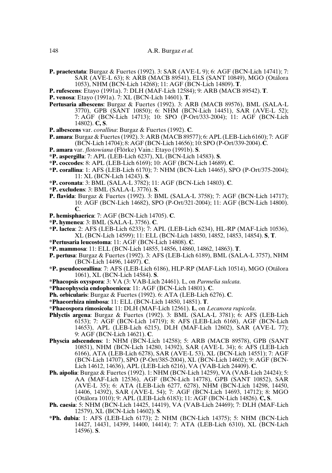- **P. praetextata**: Burgaz & Fuertes (1992). 3: SAR (AVE-L 9); 6: AGF (BCN-Lich 14741); 7: SAR (AVE-L 63); 8: ARB (MACB 89541), ELS (SANT 10849), MGO (Otálora 1053), NHM (BCN-Lich 14268); 11: AGF (BCN-Lich 14809). **T**.
- **P. rufescens**: Etayo (1991a). 7: DLH (MAF-Lich 12584); 9: ARB (MACB 89542). **T**.
- **P. venosa**: Etayo (1991a). 7: XL (BCN-Lich 14601). **T**.
- **Pertusaria albescens**: Burgaz & Fuertes (1992). 3: ARB (MACB 89576), BML (SALA-L 3770), GPB (SANT 10850); 6: NHM (BCN-Lich 14451), SAR (AVE-L 52); 7: AGF (BCN-Lich 14713); 10: SPO (P-Ort/333-2004); 11: AGF (BCN-Lich 14802). **C, S**.
- **P. albescens** var. *corallina*: Burgaz & Fuertes (1992). **C**.
- **P. amara**: Burgaz & Fuertes(1992). 3: ARB (MACB 89577); 6: APL (LEB-Lich 6160); 7: AGF (BCN-Lich 14704); 8: AGF (BCN-Lich 14656); 10: SPO (P-Ort/339-2004).**C**.
- **P. amara** var. *flotowiana* (Flörke) Vain.: Etayo (1991b). **S**.
- **\*P. aspergilla**: 7: APL (LEB-Lich 6237), XL (BCN-Lich 14583). **S**.
- **\*P. coccodes**: 8: APL (LEB-Lich 6169); 10: AGF (BCN-Lich 14689). **C**.
- **\*P. corallina**: 1: AFS (LEB-Lich 6170); 7: NHM (BCN-Lich 14465), SPO (P-Ort/375-2004); 11: XL (BCN-Lich 14243). **S**.
- **\*P. coronata**: 3: BML (SALA-L 3782); 11: AGF (BCN-Lich 14803). **C**.
- **\*P. excludens**: 3: BML (SALA-L 3776). **S**.
- **P. flavida**: Burgaz & Fuertes (1992). 3: BML (SALA-L 3758); 7: AGF (BCN-Lich 14717); 10: AGF (BCN-Lich 14682), SPO (P-Ort/321-2004); 11: AGF (BCN-Lich 14800). **C**.
- **P. hemisphaerica**: 7: AGF (BCN-Lich 14705). **C**.
- **\*P. hymenea**: 3: BML (SALA-L 3756). **C**.
- **\*P. lactea**: 2: AFS (LEB-Lich 6233); 7: APL (LEB-Lich 6234), HL-RP (MAF-Lich 10536), XL (BCN-Lich 14599); 11: ELL (BCN-Lich 14850, 14852, 14853, 14854). **S**, **T**.
- **\*Pertusaria leucostoma**: 11: AGF (BCN-Lich 14808). **C**.
- **\*P. mammosa**: 11: ELL (BCN-Lich 14855, 14856, 14860, 14862, 14863). **T**.
- **P. pertusa**: Burgaz & Fuertes (1992). 3: AFS (LEB-Lich 6189), BML (SALA-L 3757), NHM (BCN-Lich 14496, 14497). **C**.
- **\*P. pseudocorallina**: 7: AFS (LEB-Lich 6186), HLP-RP (MAF-Lich 10514), MGO (Otálora 1061), XL (BCN-Lich 14584). **S**.
- **\*Phacopsis oxyspora**: 3: VA (3: VAB-Lich 24461). L, on *Parmelia sulcata*.
- **\*Phaeophyscia endophoenicea**: 11: AGF (BCN-Lich 14801). **C**.
- **Ph. orbicularis**: Burgaz & Fuertes (1992). 6: ATA (LEB-Lich 6276). **C**.
- **\*Phaeorrhiza nimbosa**: 11: ELL (BCN-Lich 14850, 14851). **T**.
- **\*Phaeospora rimosicola**: 11: DLH (MAF-Lich 12561). **L**, on *Lecanora rupicola*.
- **Phlyctis argena**: Burgaz & Fuertes (1992). 3: BML (SALA-L 3781); 6: AFS (LEB-Lich 6153); 7: AGF (BCN-Lich 14719); 8: AFS (LEB-Lich 6168), AGF (BCN-Lich 14653), APL (LEB-Lich 6215), DLH (MAF-Lich 12602), SAR (AVE-L 77); 9: AGF (BCN-Lich 14621). **C**.
- **Physcia adscendens**: 1: NHM (BCN-Lich 14258); 5: ARB (MACB 89578), GPB (SANT 10851), NHM (BCN-Lich 14280, 14392), SAR (AVE-L 34); 6: AFS (LEB-Lich 6166), ATA (LEB-Lich 6278), SAR (AVE-L 53), XL (BCN-Lich 14551); 7: AGF (BCN-Lich 14707), SPO (P-Ort/385-2004), XL (BCN-Lich 14602); 9: AGF (BCN-Lich 14612, 14636), APL (LEB-Lich 6216), VA (VAB-Lich 24409). **C**.
- **Ph. aipolia**: Burgaz & Fuertes (1992). 1: NHM (BCN-Lich 14259), VA (VAB-Lich 24424); 5: AA (MAF-Lich 12536), AGF (BCN-Lich 14778), GPB (SANT 10852), SAR (AVE-L 35); 6: ATA (LEB-Lich 6277, 6278), NHM (BCN-Lich 14298, 14450, 14406, 14392), SAR (AVE-L 54); 7: AGF (BCN-Lich 14693, 14712); 8: MGO (Otálora 1010); 9: APL (LEB-Lich 6183); 11: AGF (BCN-Lich 14826). **C, S**.
- **Ph. caesia**: 5: NHM (BCN-Lich 14425, 14419), VA (VAB-Lich 24469); 7: DLH (MAF-Lich 12579), XL (BCN-Lich 14602). **S**.
- **\*Ph. dubia**: 1: AFS (LEB-Lich 6173); 2: NHM (BCN-Lich 14375); 5: NHM (BCN-Lich 14427, 14431, 14399, 14400, 14414); 7: ATA (LEB-Lich 6310), XL (BCN-Lich 14596). **S**.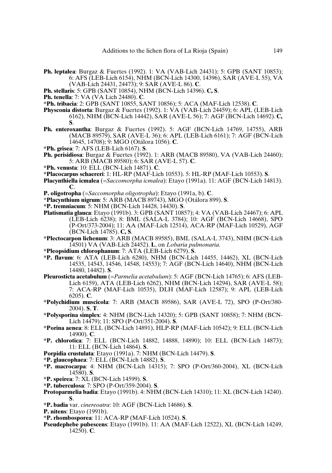- **Ph. leptalea**: Burgaz & Fuertes (1992). 1: VA (VAB-Lich 24431); 5: GPB (SANT 10853); 6: AFS (LEB-Lich 6154), NHM (BCN-Lich 14300, 14396), SAR (AVE-L 55), VA (VAB-Lich 24431, 24473); 9: SAR (AVE-L 86). **C**.
- **Ph. stellaris**: 5: GPB (SANT 10854), NHM (BCN-Lich 14396). **C, S**.
- **Ph. tenella**: 7: VA (VA Lich 24480). **C**.
- **\*Ph. tribacia**: 2: GPB (SANT 10855, SANT 10856); 5: ACA (MAF-Lich 12538). **C**.
- **Physconia distorta**: Burgaz & Fuertes (1992). 1: VA (VAB-Lich 24459); 6: APL (LEB-Lich 6162), NHM (BCN-Lich 14442), SAR (AVE-L 56); 7: AGF (BCN-Lich 14692). **C, S**.
- **Ph. enteroxantha**: Burgaz & Fuertes (1992). 5: AGF (BCN-Lich 14769, 14755), ARB (MACB 89579), SAR (AVE-L 36); 6: APL (LEB-Lich 6161); 7: AGF (BCN-Lich 14645, 14708); 9: MGO (Otálora 1056). **C**.
- **\*Ph. grisea**: 7: AFS (LEB-Lich 6167). **S**.
- **Ph. perisidiosa**: Burgaz & Fuertes (1992). 1: ARB (MACB 89580), VA (VAB-Lich 24460); 5: ARB (MACB 89580); 6: SAR (AVE-L 57). **C**.
- **\*Ph. venusta**: 10: ELL (BCN-Lich 14871). **C**.
- **\*Placocarpus schaereri**: 1: HL-RP (MAF-Lich 10553). 5: HL-RP (MAF-Lich 10553). **S**.
- **Placynthiella icmalea** (=*Saccomorpha icmalea*): Etayo (1991a). 11: AGF (BCN-Lich 14813). **C**.
- **P. oligotropha** (=*Saccomorpha oligotropha*): Etayo (1991a, b). **C**.
- \***Placynthium nigrum**: 5: ARB (MACB 89743), MGO (Otálora 899). **S**.
- **\*P. tremniacum**: 5: NHM (BCN-Lich 14428, 14430). **S**.
- **Platismatia glauca**: Etayo (1991b). 3: GPB (SANT 10857); 4: VA (VAB-Lich 24467); 6: APL (LEB-Lich 6238); 8: BML (SALA-L 3784); 10: AGF (BCN-Lich 14668), SPO (P-Ort/373-2004); 11: AA (MAF-Lich 12514), ACA-RP (MAF-Lich 10529), AGF (BCN-Lich 14785). **C, S**.
- **\*Plectocarpon lichenum**: 3: ARB (MACB 89585), BML (SALA-L 3743), NHM (BCN-Lich 14501) VA (VAB-Lich 24452). **L**, on *Lobaria pulmonaria*.
- **\*Pleopsidium chlorophanum**: 7: ATA (LEB-Lich 6279). **S**.
- **\*P. flavum**: 6: ATA (LEB-Lich 6280), NHM (BCN-Lich 14455, 14462), XL (BCN-Lich 14535, 14543, 14546, 14548, 14553); 7: AGF (BCN-Lich 14640), NHM (BCN-Lich 14480, 14482). **S**.
- **Pleurosticta acetabulum** (=*Parmelia acetabulum*): 5: AGF (BCN-Lich 14765); 6: AFS (LEB-Lich 6159), ATA (LEB-Lich 6262), NHM (BCN-Lich 14294), SAR (AVE-L 58); 7: ACA-RP (MAF-Lich 10535), DLH (MAF-Lich 12587); 9: APL (LEB-Lich 6205). **C**.
- **\*Polychidium muscicola**: 7: ARB (MACB 89586), SAR (AVE-L 72), SPO (P-Ort/380- 2004). **S**, **T**.
- **\*Polysporina simplex**: 4: NHM (BCN-Lich 14320); 5: GPB (SANT 10858); 7: NHM (BCN-Lich 14479); 11: SPO (P-Ort/351-2004). **S**.
- **\*Porina aenea**: 8: ELL (BCN-Lich 14891), HLP-RP (MAF-Lich 10542); 9: ELL (BCN-Lich 14900). **C**.
- **\*P. chlorotica**: 7: ELL (BCN-Lich 14882, 14888, 14890); 10: ELL (BCN-Lich 14873); 11: ELL (BCN-Lich 14864). **S**.
- **Porpidia crustulata**: Etayo (1991a). 7: NHM (BCN-Lich 14479). **S**.
- **\*P. glaucophaea**: 7: ELL (BCN-Lich 14882). **S**.
- **\*P. macrocarpa**: 4: NHM (BCN-Lich 14315); 7: SPO (P-Ort/360-2004), XL (BCN-Lich 14580). **S**.
- **\*P. speirea**: 7: XL (BCN-Lich 14599). **S**.
- **\*P. tuberculosa**: 7: SPO (P-Ort/359-2004). **S**.
- **Protoparmelia badia**: Etayo (1991b). 4: NHM (BCN-Lich 14310); 11: XL (BCN-Lich 14240). **S**.
- **\*P. badia** var. *cinereoatra*: 10: AGF (BCN-Lich 14686). **S**.
- **P. nitens**: Etayo (1991b).
- **\*P. rhombosporea**: 11: ACA-RP (MAF-Lich 10524). **S**.
- **Pseudephebe pubescens**: Etayo (1991b). 11: AA (MAF-Lich 12522), XL (BCN-Lich 14249, 14250). **C**.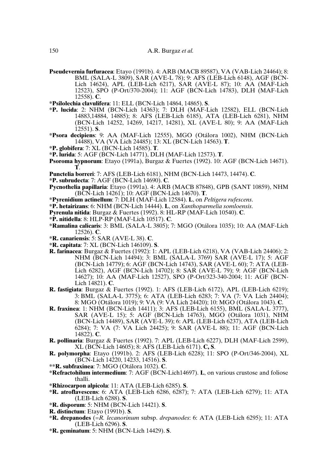- **Pseudevernia furfuracea**: Etayo (1991b). 4: ARB (MACB 89587), VA (VAB-Lich 24464); 8: BML (SALA-L 3809), SAR (AVE-L 78); 9: AFS (LEB-Lich 6148), AGF (BCN-Lich 14624), APL (LEB-Lich 6217), SAR (AVE-L 87); 10: AA (MAF-Lich 12523), SPO (P-Ort/370-2004); 11: AGF (BCN-Lich 14783), DLH (MAF-Lich 12558). **C**.
- **\*Psilolechia clavulifera**: 11: ELL (BCN-Lich 14864, 14865). **S**.
- **\*P. lucida**: 2: NHM (BCN-Lich 14363); 7: DLH (MAF-Lich 12582), ELL (BCN-Lich 14883,14884, 14885); 8: AFS (LEB-Lich 6185), ATA (LEB-Lich 6281), NHM (BCN-Lich 14252, 14269, 14217, 14281), XL (AVE-L 80); 9: AA (MAF-Lich 12551). **S**.
- **\*Psora decipiens**: 9: AA (MAF-Lich 12555), MGO (Otálora 1002), NHM (BCN-Lich 14488), VA (VA Lich 24485); 13: XL (BCN-Lich 14563). **T**.
- **\*P. globifera**: 7: XL (BCN-Lich 14585). **T**.
- **\*P. lurida**: 5: AGF (BCN-Lich 14771), DLH (MAF-Lich 12573). **T**.
- **Psoroma hypnorum**: Etayo (1991a), Burgaz & Fuertes (1992). 10: AGF (BCN-Lich 14671). **T**.
- **Punctelia borreri**: 7: AFS (LEB-Lich 6181), NHM (BCN-Lich 14473, 14474). **C**.
- **\*P. subrudecta**: 7: AGF (BCN-Lich 14690). **C**.
- **Pycnothelia papillaria**: Etayo (1991a). 4: ARB (MACB 87848), GPB (SANT 10859), NHM (BCN-Lich 14261); 10: AGF (BCN-Lich 14670). **T**.
- **\*Pyrenidium actinellum**: 7: DLH (MAF-Lich 12584). **L**, on *Peltigera rufescens*.
- **\*P. hetairizans**: 6: NHM (BCN-Lich 14444). **L**, on *Xanthoparmelia somloensis*.
- **Pyrenula nitida**: Burgaz & Fuertes (1992). 8: HL-RP (MAF-Lich 10540). **C**.
- **\*P. nitidella**: 8: HLP-RP (MAF-Lich 10517). **C**.
- **\*Ramalina calicaris**: 3: BML (SALA-L 3805); 7: MGO (Otálora 1035); 10: AA (MAF-Lich 12526). **C**.
- **\*R. canariensis**: 5: SAR (AVE-L 38). **C**.
- **\*R. capitata**: 7: XL (BCN-Lich 146109). **S**.
- **R. farinacea**: Burgaz & Fuertes (1992): 1: APL (LEB-Lich 6218), VA (VAB-Lich 24406); 2: NHM (BCN-Lich 14494); 3: BML (SALA-L 3769) SAR (AVE-L 17); 5: AGF (BCN-Lich 14779); 6: AGF (BCN-Lich 14743), SAR (AVE-L 60); 7: ATA (LEB-Lich 6282), AGF (BCN-Lich 14702); 8: SAR (AVE-L 79); 9: AGF (BCN-Lich 14627); 10: AA (MAF-Lich 12527), SPO (P-Ort/323-340-2004; 11: AGF (BCN-Lich 14821). **C**.
- **R. fastigiata**: Burgaz & Fuertes (1992). 1: AFS (LEB-Lich 6172), APL (LEB-Lich 6219); 3: BML (SALA-L 3775); 6: ATA (LEB-Lich 6283; 7: VA (7: VA Lich 24404); 8: MGO (Otálora 1019); 9: VA (9: VA Lich 24420); 10: MGO (Otálora 1043). **C**.
- **R. fraxinea**: 1: NHM (BCN-Lich 14411); 3: AFS (LEB-Lich 6155), BML (SALA-L 3777), SAR (AVE-L 15); 5: AGF (BCN-Lich 14763), MGO (Otálora 1031), NHM (BCN-Lich 14489), SAR (AVE-L 39); 6: APL (LEB-Lich 6237), ATA (LEB-Lich 6284); 7: VA (7: VA Lich 24425); 9: SAR (AVE-L 88); 11: AGF (BCN-Lich 14822). **C**.
- **R. pollinaria**: Burgaz & Fuertes (1992). 7: APL (LEB-Lich 6227), DLH (MAF-Lich 2599), XL (BCN-Lich 14605); 8: AFS (LEB-Lich 6171). **C, S**.
- **R. polymorpha**: Etayo (1991b). 2: AFS (LEB-Lich 6228); 11: SPO (P-Ort/346-2004), XL (BCN-Lich 14220, 14233, 14516). **S**.
- **\*\*R. subfraxinea**: 7: MGO (Otálora 1032). **C**.
- **\*Refractohilum intermedium**: 7: AGF (BCN-Lich14697). **L**, on various crustose and foliose thalli.
- **\*Rhizocarpon alpicola**: 11: ATA (LEB-Lich 6285). **S**.
- **\*R. atroflavescens**: 6: ATA (LEB-Lich 6286, 6287); 7: ATA (LEB-Lich 6279); 11: ATA (LEB-Lich 6288). **S**.
- **\*R. disporum**: 5: NHM (BCN-Lich 14421). **S**.
- **R. distinctum**: Etayo (1991b). **S**.
- **\*R. drepanodes** (=*R. lecanorinum* subsp. *drepanodes*: 6: ATA (LEB-Lich 6295); 11: ATA (LEB-Lich 6296). **S**.
- **\*R. geminatum**: 5: NHM (BCN-Lich 14429). **S**.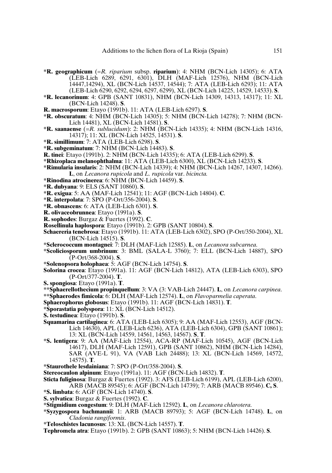- **\*R. geographicum** (=*R. riparium* subsp. **riparium**): 4: NHM (BCN-Lich 14305); 6: ATA (LEB-Lich 6289, 6291, 6301), DLH (MAF-Lich 12576), NHM (BCN-Lich 14447,14294), XL (BCN-Lich 14537, 14544); 7: ATA (LEB-Lich 6293); 11: ATA (LEB-Lich 6290, 6292, 6294, 6297, 6299), XL (BCN-Lich 14225, 14529, 14533). **S**.
- **\*R. lecanorinum**: 4: GPB (SANT 10831), NHM (BCN-Lich 14309, 14313, 14317); 11: XL (BCN-Lich 14248). **S**.
- **R. macrosporum**: Etayo (1991b). 11: ATA (LEB-Lich 6297). **S**.
- **\*R. obscuratum**: 4: NHM (BCN-Lich 14305); 5: NHM (BCN-Lich 14278); 7: NHM (BCN-Lich 14481), XL (BCN-Lich 14581). **S**.
- **\*R. saanaense** (=*R. sublucidum*): 2: NHM (BCN-Lich 14335); 4: NHM (BCN-Lich 14316, 14317); 11: XL (BCN-Lich 14525, 14531). **S**.
- **\*R. simillimum**: 7: ATA (LEB-Lich 6298). **S**.
- **\*R. subgeminatum**: 7: NHM (BCN-Lich 14483). **S**.
- **R. tinei**: Etayo (1991b). 2: NHM (BCN-Lich 14335); 6: ATA (LEB-Lich 6299). **S**.
- **\*Rhizoplaca melanophthalma**: 11: ATA (LEB-Lich 6300), XL (BCN-Lich 14233). **S**.
- **\*Rimularia insularis**: 2: NHM (BCN-Lich 14339); 4: NHM (BCN-Lich 14267, 14307, 14266). **L**, on *Lecanora rupicola* and *L. rupicola* var. *bicincta.*
- **\*Rinodina atrocinerea**: 6: NHM (BCN-Lich 14459). **S**.
- **\*R. dubyana**: 9: ELS (SANT 10860). **S**.
- **\*R. exigua**: 5: AA (MAF-Lich 12541); 11: AGF (BCN-Lich 14804). **C**.
- **\*R. interpolata**: 7: SPO (P-Ort/356-2004). **S**.
- **\*R. obnascens**: 6: ATA (LEB-Lich 6301). **S**.
- **R. olivaceobrunnea**: Etayo (1991a). **S**.
- **R. sophodes**: Burgaz & Fuertes (1992). **C**.
- **Rosellinula haplospora**: Etayo (1991b). 2: GPB (SANT 10804). **S**.
- **Schaereria tenebrosa**: Etayo (1991b). 11: ATA (LEB-Lich 6302), SPO (P-Ort/350-2004), XL (BCN-Lich 14515). **S**.
- **\*Sclerococcum montagnei**: 7: DLH (MAF-Lich 12585). **L**, on *Lecanora subcarnea*.
- **\*Scoliciosporum umbrinum**: 3: BML (SALA-L 3760); 7: ELL (BCN-Lich 14887), SPO (P-Ort/368-2004). **S**.
- **\*Solenopsora holophaea**: 5: AGF (BCN-Lich 14754). **S**.
- **Solorina crocea**: Etayo (1991a). 11: AGF (BCN-Lich 14812), ATA (LEB-Lich 6303), SPO (P-Ort/377-2004). **T**.
- **S. spongiosa**: Etayo (1991a). **T**.
- **\*\*Sphaerellothecium propinquellum**: 3: VA (3: VAB-Lich 24447). **L**, on *Lecanora carpinea*. **\*\*Sphaerodes fimicola**: 6: DLH (MAF-Lich 12574). **L**, on *Flavoparmelia caperata*.
- **Sphaerophorus globosus**: Etayo (1991b). 11: AGF (BCN-Lich 14831). **T**.
- **\*Sporastatia polyspora**: 11: XL (BCN-Lich 14512).
- **S. testudinea**: Etayo (1991b). **S**.
- **Squamarina cartilaginea**: 6: ATA (LEB-Lich 6305); 9: AA (MAF-Lich 12553), AGF (BCN-Lich 14630), APL (LEB-Lich 6236), ATA (LEB-Lich 6304), GPB (SANT 10861); 13: XL (BCN-Lich 14559, 14561, 14563, 14567). **S**, **T**.
- **\*S. lentigera**: 9: AA (MAF-Lich 12554), ACA-RP (MAF-Lich 10545), AGF (BCN-Lich 14617), DLH (MAF-Lich 12591), GPB (SANT 10862), NHM (BCN-Lich 14284), SAR (AVE-L 91), VA (VAB Lich 24488); 13: XL (BCN-Lich 14569, 14572, 14575). **T**.
- **\*Staurothele lesdainiana**: 7: SPO (P-Ort/358-2004). **S**.
- **Stereocaulon alpinum**: Etayo (1991a). 11: AGF (BCN-Lich 14832). **T**.
- **Sticta fuliginosa**: Burgaz & Fuertes (1992). 3: AFS (LEB-Lich 6199), APL (LEB-Lich 6200), ARB (MACB 89545); 6: AGF (BCN-Lich 14739); 7: ARB (MACB 89546). **C, S**.
- **\*S. limbata**: 6: AGF (BCN-Lich 14740). **S**.
- **S. sylvatica**: Burgaz & Fuertes (1992). **C**.
- **\*Stigmidium congestum**: 9: DLH (MAF-Lich 12592). **L**, on *Lecanora chlarotera*.
- **\*Syzygospora bachmannii**: 1: ARB (MACB 89793); 5: AGF (BCN-Lich 14748). **L**, on *Cladonia rangiformis*.
- **\*Teloschistes lacunosus**: 13: XL (BCN-Lich 14557). **T**.
- **Tephromela atra**: Etayo (1991b). 2: GPB (SANT 10863); 5: NHM (BCN-Lich 14426). **S**.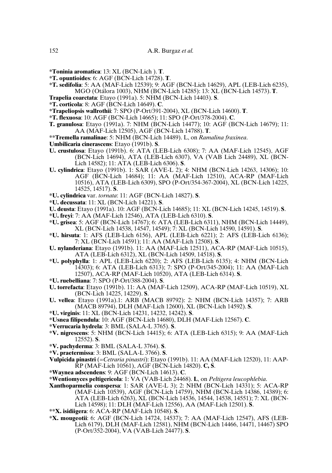- **\*Toninia aromatica**: 13: XL (BCN-Lich ). **T**.
- **\*T. opuntioides**: 6: AGF (BCN-Lich 14728). **T**.
- **\*T. sedifolia**: 5: AA (MAF-Lich 12539); 9: AGF (BCN-Lich 14629), APL (LEB-Lich 6235), MGO (Otálora 1003), NHM (BCN-Lich 14285): 13: XL (BCN-Lich 14573). **T**.
- **Trapelia coarctata**: Etayo (1991a). 5: NHM (BCN-Lich 14403). **S**.
- **\*T. corticola**: 8: AGF (BCN-Lich 14649). **C**.
- **\*Trapeliopsis wallrothii**: 7: SPO (P-Ort/391-2004), XL (BCN-Lich 14600). **T**.
- **\*T. flexuosa**: 10: AGF (BCN-Lich 14665); 11: SPO (P-Ort/378-2004). **C**.
- **T. granulosa**: Etayo (1991a). 7: NHM (BCN-Lich 14477); 10: AGF (BCN-Lich 14679); 11: AA (MAF-Lich 12505), AGF (BCN-Lich 14788). **T**.
- **\*\*Tremella ramalinae**: 5: NHM (BCN-Lich 14489). L, on *Ramalina fraxinea*.
- **Umbilicaria cinerascens**: Etayo (1991b). **S**.
- **U. crustulosa**: Etayo (1991b). 6: ATA (LEB-Lich 6308); 7: AA (MAF-Lich 12545), AGF (BCN-Lich 14694), ATA (LEB-Lich 6307), VA (VAB Lich 24489), XL (BCN-Lich 14582); 11: ATA (LEB-Lich 6306). **S**.
- **U. cylindrica**: Etayo (1991b). 1: SAR (AVE-L 2); 4: NHM (BCN-Lich 14263, 14306); 10: AGF (BCN-Lich 14684); 11: AA (MAF-Lich 12510), ACA-RP (MAF-Lich 10516), ATA (LEB-Lich 6309), SPO (P-Ort/354-367-2004), XL (BCN-Lich 14225, 14525, 14517). **S**.
- **\*U. cylindrica** var. *tornata*: 11: AGF (BCN-Lich 14827). **S**.
- **\*U. decussata**: 11: XL (BCN-Lich 14221). **S**.
- **U. deusta**: Etayo (1991a). 10: AGF (BCN-Lich 14685); 11: XL (BCN-Lich 14245, 14519). **S**.
- **\*U. freyi**: 7: AA (MAF-Lich 12546), ATA (LEB-Lich 6310). **S**.
- **\*U. grisea**: 5: AGF (BCN-Lich 14767); 6: ATA (LEB-Lich 6311), NHM (BCN-Lich 14449), XL (BCN-Lich 14538, 14547, 14549); 7: XL (BCN-Lich 14590, 14591). **S**.
- **\*U. hirsuta**: 1: AFS (LEB-Lich 6156), APL (LEB-Lich 6221); 2: AFS (LEB-Lich 6136); 7: XL (BCN-Lich 14591); 11: AA (MAF-Lich 12508). **S**.
- **U. nylanderiana**: Etayo (1991b). 11: AA (MAF-Lich 12511), ACA-RP (MAF-Lich 10515), ATA (LEB-Lich 6312), XL (BCN-Lich 14509, 14518). **S**.
- **\*U. polyphylla**: 1: APL (LEB-Lich 6220); 2: AFS (LEB-Lich 6135); 4: NHM (BCN-Lich 14303); 6: ATA (LEB-Lich 6313); 7: SPO (P-Ort/345-2004); 11: AA (MAF-Lich 12507), ACA-RP (MAF-Lich 10520), ATA (LEB-Lich 6314). **S**.
- **\*U. ruebelliana**: 7: SPO (P-Ort/388-2004). **S**.
- **U. torrefacta**: Etayo (1991b). 11: AA (MAF-Lich 12509), ACA-RP (MAF-Lich 10519), XL (BCN-Lich 14225, 14229). **S**.
- **U. vellea**: Etayo (1991a).1: ARB (MACB 89792): 2: NHM (BCN-Lich 14357); 7: ARB (MACB 89794), DLH (MAF-Lich 12600), XL (BCN-Lich 14592). **S**.
- **\*U. virginis**: 11: XL (BCN-Lich 14231, 14232, 14242). **S**.
- **\*Usnea filipendula**: 10: AGF (BCN-Lich 14680), DLH (MAF-Lich 12567). **C**.
- **\*Verrucaria hydrela**: 3: BML (SALA-L 3765). **S**.
- **\*V. nigrescens**: 5: NHM (BCN-Lich 14415); 6: ATA (LEB-Lich 6315); 9: AA (MAF-Lich 12552). **S**.
- **\*V. pachyderma**: 3: BML (SALA-L 3764). **S**.
- **\*V. praetermissa**: 3: BML (SALA-L 3766). **S**.
- **Vulpicida pinastri** (=*Cetraria pinastri*): Etayo (1991b). 11: AA (MAF-Lich 12520), 11: AAP-RP (MAF-Lich 10561), AGF (BCN-Lich 14820). **C, S**.
- **\*Waynea adscendens**: 9: AGF (BCN-Lich 14613). **C**.
- **\*Wentiomyces peltigericola**: 1: VA (VAB-Lich 24468). **L**, on *Peltigera leucophlebia*.
- **Xanthoparmelia conspersa**: 1: SAR (AVE-L 3); 2: NHM (BCN-Lich 14331); 5: ACA-RP (MAF-Lich 10539), AGF (BCN-Lich 14759), NHM (BCN-Lich 14386, 14389); 6: ATA (LEB-Lich 6263), XL (BCN-Lich 14536, 14544, 14538, 14551); 7: XL (BCN-Lich 14598); 11: DLH (MAF-Lich 12556), AA (MAF-Lich 12501). **S**.
- **\*\*X. isidiigera**: 6: ACA-RP (MAF-Lich 10548). **S**.
- **\*X. mougeotii**: 6: AGF (BCN-Lich 14724, 14537); 7: AA (MAF-Lich 12547), AFS (LEB-Lich 6179), DLH (MAF-Lich 12581), NHM (BCN-Lich 14466, 14471, 14467) SPO (P-Ort/352-2004), VA (VAB-Lich 24477). **S**.